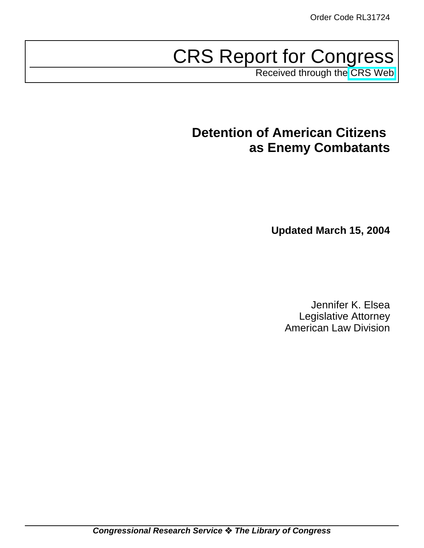# CRS Report for Congress

Received through the [CRS Web](http://www.fas.org/irp/crs/index.html)

# **Detention of American Citizens as Enemy Combatants**

**Updated March 15, 2004**

Jennifer K. Elsea Legislative Attorney American Law Division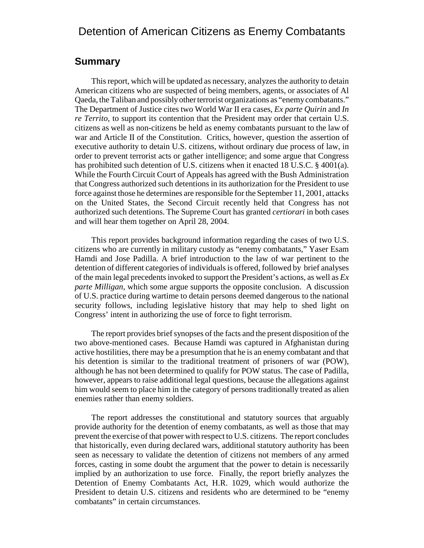# Detention of American Citizens as Enemy Combatants

## **Summary**

This report, which will be updated as necessary, analyzes the authority to detain American citizens who are suspected of being members, agents, or associates of Al Qaeda, the Taliban and possibly other terrorist organizations as "enemy combatants." The Department of Justice cites two World War II era cases, *Ex parte Quirin* and *In re Territo*, to support its contention that the President may order that certain U.S. citizens as well as non-citizens be held as enemy combatants pursuant to the law of war and Article II of the Constitution. Critics, however, question the assertion of executive authority to detain U.S. citizens, without ordinary due process of law, in order to prevent terrorist acts or gather intelligence; and some argue that Congress has prohibited such detention of U.S. citizens when it enacted 18 U.S.C. § 4001(a). While the Fourth Circuit Court of Appeals has agreed with the Bush Administration that Congress authorized such detentions in its authorization for the President to use force against those he determines are responsible for the September 11, 2001, attacks on the United States, the Second Circuit recently held that Congress has not authorized such detentions. The Supreme Court has granted *certiorari* in both cases and will hear them together on April 28, 2004.

This report provides background information regarding the cases of two U.S. citizens who are currently in military custody as "enemy combatants," Yaser Esam Hamdi and Jose Padilla. A brief introduction to the law of war pertinent to the detention of different categories of individuals is offered, followed by brief analyses of the main legal precedents invoked to support the President's actions, as well as *Ex parte Milligan*, which some argue supports the opposite conclusion. A discussion of U.S. practice during wartime to detain persons deemed dangerous to the national security follows, including legislative history that may help to shed light on Congress' intent in authorizing the use of force to fight terrorism.

The report provides brief synopses of the facts and the present disposition of the two above-mentioned cases. Because Hamdi was captured in Afghanistan during active hostilities, there may be a presumption that he is an enemy combatant and that his detention is similar to the traditional treatment of prisoners of war (POW), although he has not been determined to qualify for POW status. The case of Padilla, however, appears to raise additional legal questions, because the allegations against him would seem to place him in the category of persons traditionally treated as alien enemies rather than enemy soldiers.

The report addresses the constitutional and statutory sources that arguably provide authority for the detention of enemy combatants, as well as those that may prevent the exercise of that power with respect to U.S. citizens. The report concludes that historically, even during declared wars, additional statutory authority has been seen as necessary to validate the detention of citizens not members of any armed forces, casting in some doubt the argument that the power to detain is necessarily implied by an authorization to use force. Finally, the report briefly analyzes the Detention of Enemy Combatants Act, H.R. 1029, which would authorize the President to detain U.S. citizens and residents who are determined to be "enemy combatants" in certain circumstances.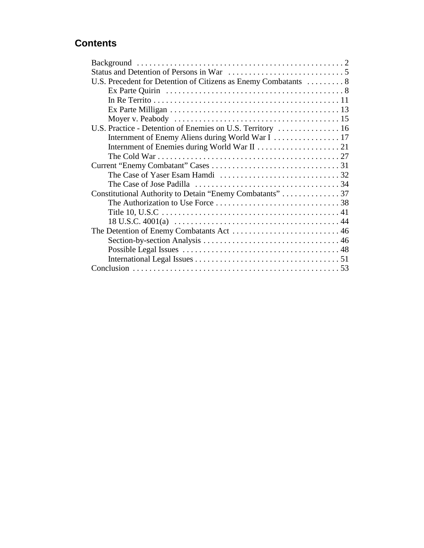# **Contents**

| U.S. Precedent for Detention of Citizens as Enemy Combatants  8 |  |
|-----------------------------------------------------------------|--|
|                                                                 |  |
|                                                                 |  |
|                                                                 |  |
|                                                                 |  |
| U.S. Practice - Detention of Enemies on U.S. Territory  16      |  |
|                                                                 |  |
|                                                                 |  |
|                                                                 |  |
|                                                                 |  |
|                                                                 |  |
|                                                                 |  |
| Constitutional Authority to Detain "Enemy Combatants" 37        |  |
|                                                                 |  |
|                                                                 |  |
|                                                                 |  |
|                                                                 |  |
|                                                                 |  |
|                                                                 |  |
|                                                                 |  |
|                                                                 |  |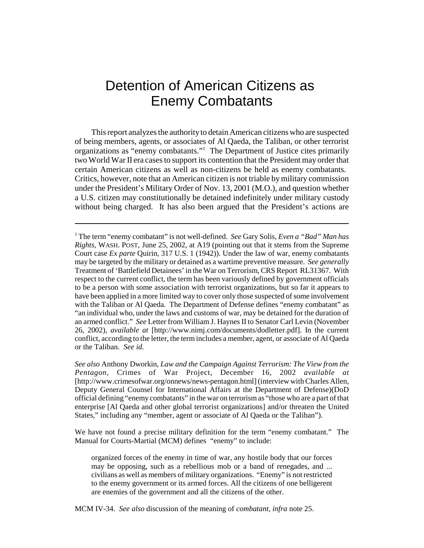# Detention of American Citizens as Enemy Combatants

This report analyzes the authority to detain American citizens who are suspected of being members, agents, or associates of Al Qaeda, the Taliban, or other terrorist organizations as "enemy combatants."1 The Department of Justice cites primarily two World War II era cases to support its contention that the President may order that certain American citizens as well as non-citizens be held as enemy combatants. Critics, however, note that an American citizen is not triable by military commission under the President's Military Order of Nov. 13, 2001 (M.O.), and question whether a U.S. citizen may constitutionally be detained indefinitely under military custody without being charged. It has also been argued that the President's actions are

*See also* Anthony Dworkin, *Law and the Campaign Against Terrorism: The View from the Pentagon*, Crimes of War Project, December 16, 2002 *available at* [http://www.crimesofwar.org/onnews/news-pentagon.html] (interview with Charles Allen, Deputy General Counsel for International Affairs at the Department of Defense)(DoD official defining "enemy combatants" in the war on terrorism as "those who are a part of that enterprise [Al Qaeda and other global terrorist organizations] and/or threaten the United States," including any "member, agent or associate of Al Qaeda or the Taliban").

We have not found a precise military definition for the term "enemy combatant." The Manual for Courts-Martial (MCM) defines "enemy" to include:

organized forces of the enemy in time of war, any hostile body that our forces may be opposing, such as a rebellious mob or a band of renegades, and ... civilians as well as members of military organizations. "Enemy" is not restricted to the enemy government or its armed forces. All the citizens of one belligerent are enemies of the government and all the citizens of the other.

MCM IV-34. *See also* discussion of the meaning of *combatant, infra* note 25.

<sup>1</sup> The term "enemy combatant" is not well-defined. *See* Gary Solis, *Even a "Bad" Man has Rights*, WASH. POST, June 25, 2002, at A19 (pointing out that it stems from the Supreme Court case *Ex parte* Quirin, 317 U.S. 1 (1942)). Under the law of war, enemy combatants may be targeted by the military or detained as a wartime preventive measure. *See generally* Treatment of 'Battlefield Detainees' in the War on Terrorism, CRS Report RL31367. With respect to the current conflict, the term has been variously defined by government officials to be a person with some association with terrorist organizations, but so far it appears to have been applied in a more limited way to cover only those suspected of some involvement with the Taliban or Al Qaeda. The Department of Defense defines "enemy combatant" as "an individual who, under the laws and customs of war, may be detained for the duration of an armed conflict." *See* Letter from William J. Haynes II to Senator Carl Levin (November 26, 2002), *available at* [http://www.nimj.com/documents/dodletter.pdf]. In the current conflict, according to the letter, the term includes a member, agent, or associate of Al Qaeda or the Taliban. *See id.*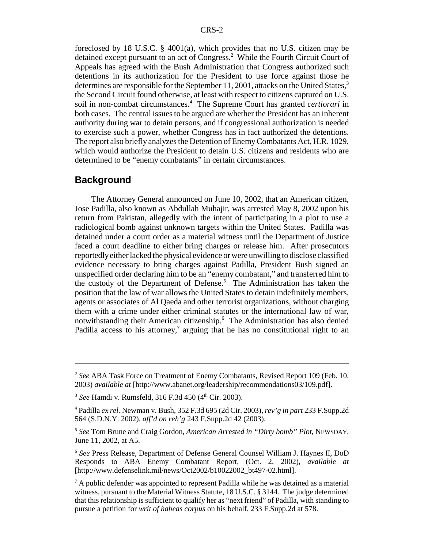foreclosed by 18 U.S.C. § 4001(a), which provides that no U.S. citizen may be detained except pursuant to an act of Congress.<sup>2</sup> While the Fourth Circuit Court of Appeals has agreed with the Bush Administration that Congress authorized such detentions in its authorization for the President to use force against those he determines are responsible for the September 11, 2001, attacks on the United States, $3$ the Second Circuit found otherwise, at least with respect to citizens captured on U.S. soil in non-combat circumstances.<sup>4</sup> The Supreme Court has granted *certiorari* in both cases. The central issues to be argued are whether the President has an inherent authority during war to detain persons, and if congressional authorization is needed to exercise such a power, whether Congress has in fact authorized the detentions. The report also briefly analyzes the Detention of Enemy Combatants Act, H.R. 1029, which would authorize the President to detain U.S. citizens and residents who are determined to be "enemy combatants" in certain circumstances.

#### **Background**

The Attorney General announced on June 10, 2002, that an American citizen, Jose Padilla, also known as Abdullah Muhajir, was arrested May 8, 2002 upon his return from Pakistan, allegedly with the intent of participating in a plot to use a radiological bomb against unknown targets within the United States. Padilla was detained under a court order as a material witness until the Department of Justice faced a court deadline to either bring charges or release him. After prosecutors reportedly either lacked the physical evidence or were unwilling to disclose classified evidence necessary to bring charges against Padilla, President Bush signed an unspecified order declaring him to be an "enemy combatant," and transferred him to the custody of the Department of Defense.<sup>5</sup> The Administration has taken the position that the law of war allows the United States to detain indefinitely members, agents or associates of Al Qaeda and other terrorist organizations, without charging them with a crime under either criminal statutes or the international law of war, notwithstanding their American citizenship.6 The Administration has also denied Padilla access to his attorney,<sup>7</sup> arguing that he has no constitutional right to an

<sup>2</sup> *See* ABA Task Force on Treatment of Enemy Combatants, Revised Report 109 (Feb. 10, 2003) *available at* [http://www.abanet.org/leadership/recommendations03/109.pdf].

<sup>&</sup>lt;sup>3</sup> See Hamdi v. Rumsfeld, 316 F.3d 450 (4<sup>th</sup> Cir. 2003).

<sup>4</sup> Padilla *ex rel.* Newman v. Bush, 352 F.3d 695 (2d Cir. 2003), *rev'g in part* 233 F.Supp.2d 564 (S.D.N.Y. 2002), *aff'd on reh'g* 243 F.Supp.2d 42 (2003).

<sup>5</sup> *See* Tom Brune and Craig Gordon, *American Arrested in "Dirty bomb" Plot,* NEWSDAY, June 11, 2002, at A5.

<sup>6</sup> *See* Press Release, Department of Defense General Counsel William J. Haynes II, DoD Responds to ABA Enemy Combatant Report, (Oct. 2, 2002), *available at* [http://www.defenselink.mil/news/Oct2002/b10022002\_bt497-02.html].

 $7$  A public defender was appointed to represent Padilla while he was detained as a material witness, pursuant to the Material Witness Statute, 18 U.S.C. § 3144. The judge determined that this relationship is sufficient to qualify her as "next friend" of Padilla, with standing to pursue a petition for *writ of habeas corpus* on his behalf. 233 F.Supp.2d at 578.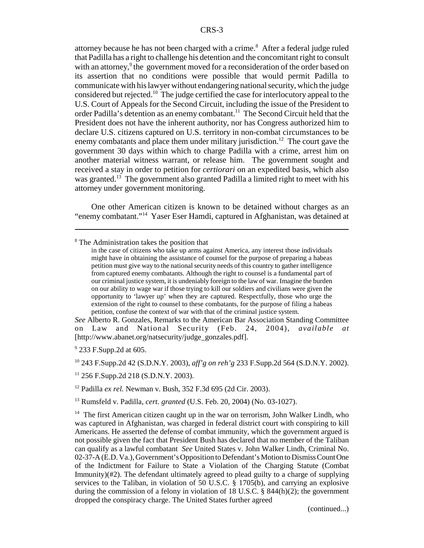attorney because he has not been charged with a crime.<sup>8</sup> After a federal judge ruled that Padilla has a right to challenge his detention and the concomitant right to consult with an attorney,<sup>9</sup> the government moved for a reconsideration of the order based on its assertion that no conditions were possible that would permit Padilla to communicate with his lawyer without endangering national security, which the judge considered but rejected.10 The judge certified the case for interlocutory appeal to the U.S. Court of Appeals for the Second Circuit, including the issue of the President to order Padilla's detention as an enemy combatant.<sup>11</sup> The Second Circuit held that the President does not have the inherent authority, nor has Congress authorized him to declare U.S. citizens captured on U.S. territory in non-combat circumstances to be enemy combatants and place them under military jurisdiction.<sup>12</sup> The court gave the government 30 days within which to charge Padilla with a crime, arrest him on another material witness warrant, or release him. The government sought and received a stay in order to petition for *certiorari* on an expedited basis, which also was granted.<sup>13</sup> The government also granted Padilla a limited right to meet with his attorney under government monitoring.

One other American citizen is known to be detained without charges as an "enemy combatant."14 Yaser Eser Hamdi, captured in Afghanistan, was detained at

*See* Alberto R. Gonzales, Remarks to the American Bar Association Standing Committee on Law and National Security (Feb. 24, 2004), *available at* [http://www.abanet.org/natsecurity/judge\_gonzales.pdf].

<sup>9</sup> 233 F.Supp.2d at 605.

10 243 F.Supp.2d 42 (S.D.N.Y. 2003), *aff'g on reh'g* 233 F.Supp.2d 564 (S.D.N.Y. 2002).

11 256 F.Supp.2d 218 (S.D.N.Y. 2003).

12 Padilla *ex rel.* Newman v. Bush, 352 F.3d 695 (2d Cir. 2003).

13 Rumsfeld v. Padilla, *cert. granted* (U.S. Feb. 20, 2004) (No. 03-1027).

(continued...)

<sup>&</sup>lt;sup>8</sup> The Administration takes the position that

in the case of citizens who take up arms against America, any interest those individuals might have in obtaining the assistance of counsel for the purpose of preparing a habeas petition must give way to the national security needs of this country to gather intelligence from captured enemy combatants. Although the right to counsel is a fundamental part of our criminal justice system, it is undeniably foreign to the law of war. Imagine the burden on our ability to wage war if those trying to kill our soldiers and civilians were given the opportunity to 'lawyer up' when they are captured. Respectfully, those who urge the extension of the right to counsel to these combatants, for the purpose of filing a habeas petition, confuse the context of war with that of the criminal justice system.

<sup>&</sup>lt;sup>14</sup> The first American citizen caught up in the war on terrorism, John Walker Lindh, who was captured in Afghanistan, was charged in federal district court with conspiring to kill Americans. He asserted the defense of combat immunity, which the government argued is not possible given the fact that President Bush has declared that no member of the Taliban can qualify as a lawful combatant *See* United States v. John Walker Lindh, Criminal No. 02-37-A (E.D. Va.), Government's Opposition to Defendant's Motion to Dismiss Count One of the Indictment for Failure to State a Violation of the Charging Statute (Combat Immunity)(#2). The defendant ultimately agreed to plead guilty to a charge of supplying services to the Taliban, in violation of 50 U.S.C. § 1705(b), and carrying an explosive during the commission of a felony in violation of 18 U.S.C.  $\S$  844(h)(2); the government dropped the conspiracy charge. The United States further agreed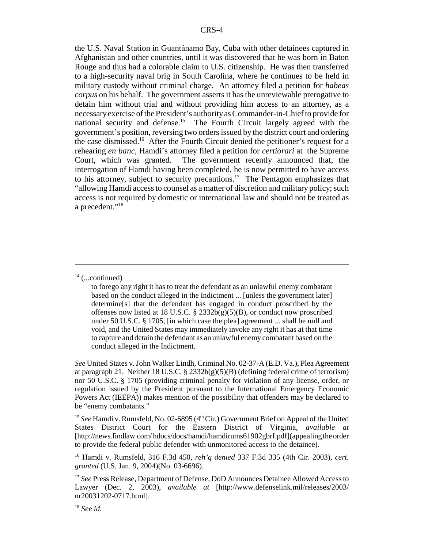the U.S. Naval Station in Guantánamo Bay, Cuba with other detainees captured in Afghanistan and other countries, until it was discovered that he was born in Baton Rouge and thus had a colorable claim to U.S. citizenship. He was then transferred to a high-security naval brig in South Carolina, where he continues to be held in military custody without criminal charge. An attorney filed a petition for *habeas corpus* on his behalf. The government asserts it has the unreviewable prerogative to detain him without trial and without providing him access to an attorney, as a necessary exercise of the President's authority as Commander-in-Chief to provide for national security and defense.15 The Fourth Circuit largely agreed with the government's position, reversing two orders issued by the district court and ordering the case dismissed.16 After the Fourth Circuit denied the petitioner's request for a rehearing *en banc*, Hamdi's attorney filed a petition for *certiorari* at the Supreme Court, which was granted. The government recently announced that, the interrogation of Hamdi having been completed, he is now permitted to have access to his attorney, subject to security precautions.<sup>17</sup> The Pentagon emphasizes that "allowing Hamdi access to counsel as a matter of discretion and military policy; such access is not required by domestic or international law and should not be treated as a precedent."18

*See* United States v. John Walker Lindh, Criminal No. 02-37-A (E.D. Va.), Plea Agreement at paragraph 21. Neither 18 U.S.C. § 2332b(g)(5)(B) (defining federal crime of terrorism) nor 50 U.S.C. § 1705 (providing criminal penalty for violation of any license, order, or regulation issued by the President pursuant to the International Emergency Economic Powers Act (IEEPA)) makes mention of the possibility that offenders may be declared to be "enemy combatants."

<sup>15</sup> See Hamdi v. Rumsfeld, No. 02-6895 (4<sup>th</sup> Cir.) Government Brief on Appeal of the United States District Court for the Eastern District of Virginia, *available at* [http://news.findlaw.com/ hdocs/docs/hamdi/hamdirums61902gbrf.pdf](appealing the order to provide the federal public defender with unmonitored access to the detainee).

16 Hamdi v. Rumsfeld, 316 F.3d 450, *reh'g denied* 337 F.3d 335 (4th Cir. 2003), *cert. granted* (U.S. Jan. 9, 2004)(No. 03-6696).

 $14$  (...continued)

to forego any right it has to treat the defendant as an unlawful enemy combatant based on the conduct alleged in the Indictment ... [unless the government later] determine[s] that the defendant has engaged in conduct proscribed by the offenses now listed at 18 U.S.C.  $\S$  2332b(g)(5)(B), or conduct now proscribed under 50 U.S.C. § 1705, [in which case the plea] agreement ... shall be null and void, and the United States may immediately invoke any right it has at that time to capture and detain the defendant as an unlawful enemy combatant based on the conduct alleged in the Indictment.

<sup>&</sup>lt;sup>17</sup> *See* Press Release, Department of Defense, DoD Announces Detainee Allowed Access to Lawyer (Dec. 2, 2003), *available at* [http://www.defenselink.mil/releases/2003/ nr20031202-0717.html].

<sup>18</sup> *See id*.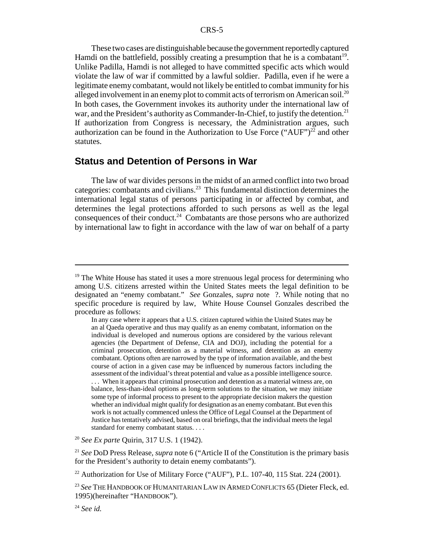These two cases are distinguishable because the government reportedly captured Hamdi on the battlefield, possibly creating a presumption that he is a combatant<sup>19</sup>. Unlike Padilla, Hamdi is not alleged to have committed specific acts which would violate the law of war if committed by a lawful soldier. Padilla, even if he were a legitimate enemy combatant, would not likely be entitled to combat immunity for his alleged involvement in an enemy plot to commit acts of terrorism on American soil.<sup>20</sup> In both cases, the Government invokes its authority under the international law of war, and the President's authority as Commander-In-Chief, to justify the detention.<sup>21</sup> If authorization from Congress is necessary, the Administration argues, such authorization can be found in the Authorization to Use Force ("AUF")<sup>22</sup> and other statutes.

#### **Status and Detention of Persons in War**

The law of war divides persons in the midst of an armed conflict into two broad categories: combatants and civilians.<sup>23</sup> This fundamental distinction determines the international legal status of persons participating in or affected by combat, and determines the legal protections afforded to such persons as well as the legal consequences of their conduct.<sup>24</sup> Combatants are those persons who are authorized by international law to fight in accordance with the law of war on behalf of a party

standard for enemy combatant status. . . .

<sup>20</sup> *See Ex parte* Quirin, 317 U.S. 1 (1942).

<sup>&</sup>lt;sup>19</sup> The White House has stated it uses a more strenuous legal process for determining who among U.S. citizens arrested within the United States meets the legal definition to be designated an "enemy combatant." *See* Gonzales, *supra* note ?. While noting that no specific procedure is required by law, White House Counsel Gonzales described the procedure as follows:

In any case where it appears that a U.S. citizen captured within the United States may be an al Qaeda operative and thus may qualify as an enemy combatant, information on the individual is developed and numerous options are considered by the various relevant agencies (the Department of Defense, CIA and DOJ), including the potential for a criminal prosecution, detention as a material witness, and detention as an enemy combatant. Options often are narrowed by the type of information available, and the best course of action in a given case may be influenced by numerous factors including the assessment of the individual's threat potential and value as a possible intelligence source. . . . When it appears that criminal prosecution and detention as a material witness are, on balance, less-than-ideal options as long-term solutions to the situation, we may initiate some type of informal process to present to the appropriate decision makers the question whether an individual might qualify for designation as an enemy combatant. But even this work is not actually commenced unless the Office of Legal Counsel at the Department of Justice has tentatively advised, based on oral briefings, that the individual meets the legal

<sup>21</sup> *See* DoD Press Release, *supra* note 6 ("Article II of the Constitution is the primary basis for the President's authority to detain enemy combatants").

 $22$  Authorization for Use of Military Force ("AUF"), P.L. 107-40, 115 Stat. 224 (2001).

<sup>23</sup> *See* THE HANDBOOK OF HUMANITARIAN LAW IN ARMED CONFLICTS 65 (Dieter Fleck, ed. 1995)(hereinafter "HANDBOOK").

<sup>24</sup> *See id.*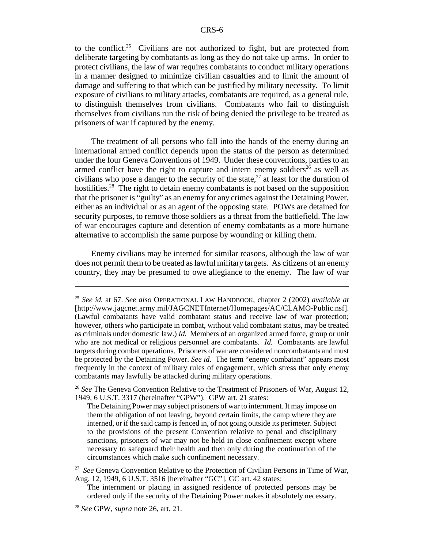to the conflict.<sup>25</sup> Civilians are not authorized to fight, but are protected from deliberate targeting by combatants as long as they do not take up arms. In order to protect civilians, the law of war requires combatants to conduct military operations in a manner designed to minimize civilian casualties and to limit the amount of damage and suffering to that which can be justified by military necessity. To limit exposure of civilians to military attacks, combatants are required, as a general rule, to distinguish themselves from civilians. Combatants who fail to distinguish themselves from civilians run the risk of being denied the privilege to be treated as prisoners of war if captured by the enemy.

The treatment of all persons who fall into the hands of the enemy during an international armed conflict depends upon the status of the person as determined under the four Geneva Conventions of 1949. Under these conventions, parties to an armed conflict have the right to capture and intern enemy soldiers<sup> $2\bar{6}$ </sup> as well as civilians who pose a danger to the security of the state,<sup>27</sup> at least for the duration of hostilities.<sup>28</sup> The right to detain enemy combatants is not based on the supposition that the prisoner is "guilty" as an enemy for any crimes against the Detaining Power, either as an individual or as an agent of the opposing state. POWs are detained for security purposes, to remove those soldiers as a threat from the battlefield. The law of war encourages capture and detention of enemy combatants as a more humane alternative to accomplish the same purpose by wounding or killing them.

Enemy civilians may be interned for similar reasons, although the law of war does not permit them to be treated as lawful military targets. As citizens of an enemy country, they may be presumed to owe allegiance to the enemy. The law of war

<sup>25</sup> *See id.* at 67. *See also* OPERATIONAL LAW HANDBOOK, chapter 2 (2002) *available at* [http://www.jagcnet.army.mil/JAGCNETInternet/Homepages/AC/CLAMO-Public.nsf]. (Lawful combatants have valid combatant status and receive law of war protection; however, others who participate in combat, without valid combatant status, may be treated as criminals under domestic law.) *Id.* Members of an organized armed force, group or unit who are not medical or religious personnel are combatants. *Id.* Combatants are lawful targets during combat operations. Prisoners of war are considered noncombatants and must be protected by the Detaining Power. *See id.* The term "enemy combatant" appears most frequently in the context of military rules of engagement, which stress that only enemy combatants may lawfully be attacked during military operations.

<sup>26</sup> *See* The Geneva Convention Relative to the Treatment of Prisoners of War, August 12, 1949, 6 U.S.T. 3317 (hereinafter "GPW"). GPW art. 21 states:

The Detaining Power may subject prisoners of war to internment. It may impose on them the obligation of not leaving, beyond certain limits, the camp where they are interned, or if the said camp is fenced in, of not going outside its perimeter. Subject to the provisions of the present Convention relative to penal and disciplinary sanctions, prisoners of war may not be held in close confinement except where necessary to safeguard their health and then only during the continuation of the circumstances which make such confinement necessary.

<sup>&</sup>lt;sup>27</sup> *See* Geneva Convention Relative to the Protection of Civilian Persons in Time of War, Aug. 12, 1949, 6 U.S.T. 3516 [hereinafter "GC"]. GC art. 42 states:

The internment or placing in assigned residence of protected persons may be ordered only if the security of the Detaining Power makes it absolutely necessary.

<sup>28</sup> *See* GPW, *supra* note 26, art. 21.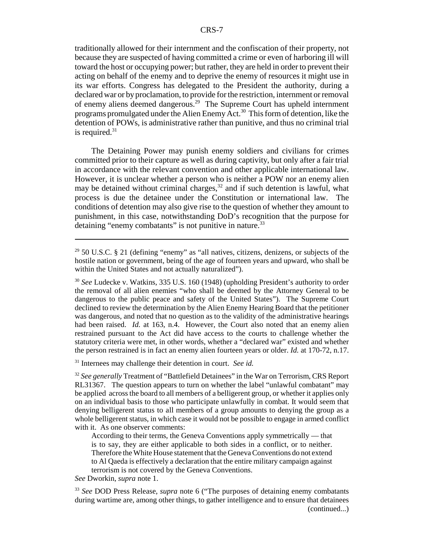traditionally allowed for their internment and the confiscation of their property, not because they are suspected of having committed a crime or even of harboring ill will toward the host or occupying power; but rather, they are held in order to prevent their acting on behalf of the enemy and to deprive the enemy of resources it might use in its war efforts. Congress has delegated to the President the authority, during a declared war or by proclamation, to provide for the restriction, internment or removal of enemy aliens deemed dangerous.29 The Supreme Court has upheld internment programs promulgated under the Alien Enemy Act.30 This form of detention, like the detention of POWs, is administrative rather than punitive, and thus no criminal trial is required. $31$ 

The Detaining Power may punish enemy soldiers and civilians for crimes committed prior to their capture as well as during captivity, but only after a fair trial in accordance with the relevant convention and other applicable international law. However, it is unclear whether a person who is neither a POW nor an enemy alien may be detained without criminal charges, $32$  and if such detention is lawful, what process is due the detainee under the Constitution or international law. The conditions of detention may also give rise to the question of whether they amount to punishment, in this case, notwithstanding DoD's recognition that the purpose for detaining "enemy combatants" is not punitive in nature.<sup>33</sup>

<sup>30</sup> *See* Ludecke v. Watkins, 335 U.S. 160 (1948) (upholding President's authority to order the removal of all alien enemies "who shall be deemed by the Attorney General to be dangerous to the public peace and safety of the United States"). The Supreme Court declined to review the determination by the Alien Enemy Hearing Board that the petitioner was dangerous, and noted that no question as to the validity of the administrative hearings had been raised. *Id.* at 163, n.4. However, the Court also noted that an enemy alien restrained pursuant to the Act did have access to the courts to challenge whether the statutory criteria were met, in other words, whether a "declared war" existed and whether the person restrained is in fact an enemy alien fourteen years or older. *Id.* at 170-72, n.17.

31 Internees may challenge their detention in court. *See id.*

<sup>32</sup> See generally Treatment of "Battlefield Detainees" in the War on Terrorism, CRS Report RL31367. The question appears to turn on whether the label "unlawful combatant" may be applied across the board to all members of a belligerent group, or whether it applies only on an individual basis to those who participate unlawfully in combat. It would seem that denying belligerent status to all members of a group amounts to denying the group as a whole belligerent status, in which case it would not be possible to engage in armed conflict with it. As one observer comments:

According to their terms, the Geneva Conventions apply symmetrically — that is to say, they are either applicable to both sides in a conflict, or to neither. Therefore the White House statement that the Geneva Conventions do not extend to Al Qaeda is effectively a declaration that the entire military campaign against terrorism is not covered by the Geneva Conventions.

*See* Dworkin, *supra* note 1.

<sup>33</sup> *See* DOD Press Release, *supra* note 6 ("The purposes of detaining enemy combatants during wartime are, among other things, to gather intelligence and to ensure that detainees (continued...)

 $29$  50 U.S.C. § 21 (defining "enemy" as "all natives, citizens, denizens, or subjects of the hostile nation or government, being of the age of fourteen years and upward, who shall be within the United States and not actually naturalized").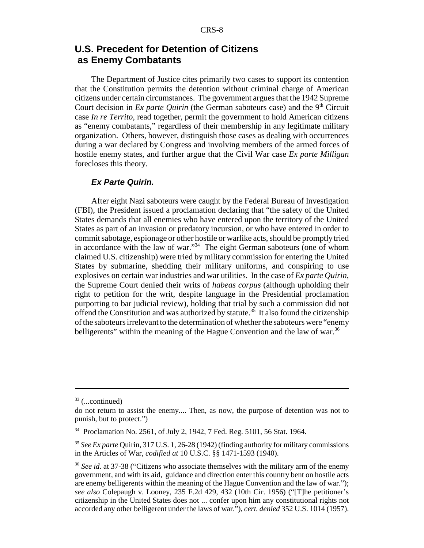# **U.S. Precedent for Detention of Citizens as Enemy Combatants**

The Department of Justice cites primarily two cases to support its contention that the Constitution permits the detention without criminal charge of American citizens under certain circumstances. The government argues that the 1942 Supreme Court decision in *Ex parte Quirin* (the German saboteurs case) and the 9<sup>th</sup> Circuit case *In re Territo*, read together, permit the government to hold American citizens as "enemy combatants," regardless of their membership in any legitimate military organization. Others, however, distinguish those cases as dealing with occurrences during a war declared by Congress and involving members of the armed forces of hostile enemy states, and further argue that the Civil War case *Ex parte Milligan* forecloses this theory.

#### *Ex Parte Quirin.*

After eight Nazi saboteurs were caught by the Federal Bureau of Investigation (FBI), the President issued a proclamation declaring that "the safety of the United States demands that all enemies who have entered upon the territory of the United States as part of an invasion or predatory incursion, or who have entered in order to commit sabotage, espionage or other hostile or warlike acts, should be promptly tried in accordance with the law of war."<sup>34</sup> The eight German saboteurs (one of whom claimed U.S. citizenship) were tried by military commission for entering the United States by submarine, shedding their military uniforms, and conspiring to use explosives on certain war industries and war utilities. In the case of *Ex parte Quirin*, the Supreme Court denied their writs of *habeas corpus* (although upholding their right to petition for the writ, despite language in the Presidential proclamation purporting to bar judicial review), holding that trial by such a commission did not offend the Constitution and was authorized by statute.<sup>35</sup> It also found the citizenship of the saboteurs irrelevant to the determination of whether the saboteurs were "enemy belligerents" within the meaning of the Hague Convention and the law of war.<sup>36</sup>

 $33$  (...continued)

do not return to assist the enemy.... Then, as now, the purpose of detention was not to punish, but to protect.")

<sup>34</sup> Proclamation No. 2561, of July 2, 1942, 7 Fed. Reg. 5101, 56 Stat. 1964.

<sup>35</sup> *See Ex parte* Quirin, 317 U.S. 1, 26-28 (1942) (finding authority for military commissions in the Articles of War, *codified at* 10 U.S.C. §§ 1471-1593 (1940).

<sup>36</sup> *See id.* at 37-38 ("Citizens who associate themselves with the military arm of the enemy government, and with its aid, guidance and direction enter this country bent on hostile acts are enemy belligerents within the meaning of the Hague Convention and the law of war."); *see also* Colepaugh v. Looney, 235 F.2d 429, 432 (10th Cir. 1956) ("[T]he petitioner's citizenship in the United States does not ... confer upon him any constitutional rights not accorded any other belligerent under the laws of war."), *cert. denied* 352 U.S. 1014 (1957).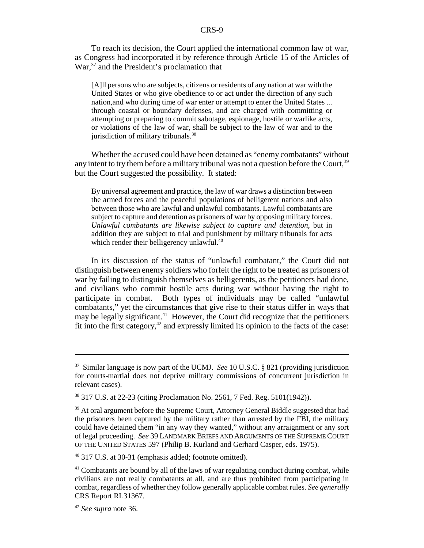To reach its decision, the Court applied the international common law of war, as Congress had incorporated it by reference through Article 15 of the Articles of War,<sup>37</sup> and the President's proclamation that

[A]ll persons who are subjects, citizens or residents of any nation at war with the United States or who give obedience to or act under the direction of any such nation,and who during time of war enter or attempt to enter the United States ... through coastal or boundary defenses, and are charged with committing or attempting or preparing to commit sabotage, espionage, hostile or warlike acts, or violations of the law of war, shall be subject to the law of war and to the jurisdiction of military tribunals.<sup>38</sup>

Whether the accused could have been detained as "enemy combatants" without any intent to try them before a military tribunal was not a question before the Court,  $39$ but the Court suggested the possibility. It stated:

By universal agreement and practice, the law of war draws a distinction between the armed forces and the peaceful populations of belligerent nations and also between those who are lawful and unlawful combatants. Lawful combatants are subject to capture and detention as prisoners of war by opposing military forces. *Unlawful combatants are likewise subject to capture and detention*, but in addition they are subject to trial and punishment by military tribunals for acts which render their belligerency unlawful.<sup>40</sup>

In its discussion of the status of "unlawful combatant," the Court did not distinguish between enemy soldiers who forfeit the right to be treated as prisoners of war by failing to distinguish themselves as belligerents, as the petitioners had done, and civilians who commit hostile acts during war without having the right to participate in combat. Both types of individuals may be called "unlawful combatants," yet the circumstances that give rise to their status differ in ways that may be legally significant.<sup>41</sup> However, the Court did recognize that the petitioners fit into the first category, $42$  and expressly limited its opinion to the facts of the case:

<sup>37</sup> Similar language is now part of the UCMJ. *See* 10 U.S.C. § 821 (providing jurisdiction for courts-martial does not deprive military commissions of concurrent jurisdiction in relevant cases).

<sup>38 317</sup> U.S. at 22-23 (citing Proclamation No. 2561, 7 Fed. Reg. 5101(1942)).

<sup>&</sup>lt;sup>39</sup> At oral argument before the Supreme Court, Attorney General Biddle suggested that had the prisoners been captured by the military rather than arrested by the FBI, the military could have detained them "in any way they wanted," without any arraignment or any sort of legal proceeding. *See* 39 LANDMARK BRIEFS AND ARGUMENTS OF THE SUPREME COURT OF THE UNITED STATES 597 (Philip B. Kurland and Gerhard Casper, eds. 1975).

<sup>40 317</sup> U.S. at 30-31 (emphasis added; footnote omitted).

 $41$  Combatants are bound by all of the laws of war regulating conduct during combat, while civilians are not really combatants at all, and are thus prohibited from participating in combat, regardless of whether they follow generally applicable combat rules. *See generally* CRS Report RL31367.

<sup>42</sup> *See supra* note 36.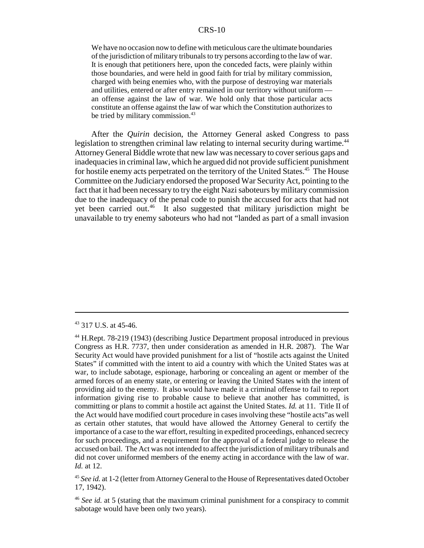We have no occasion now to define with meticulous care the ultimate boundaries of the jurisdiction of military tribunals to try persons according to the law of war. It is enough that petitioners here, upon the conceded facts, were plainly within those boundaries, and were held in good faith for trial by military commission, charged with being enemies who, with the purpose of destroying war materials and utilities, entered or after entry remained in our territory without uniform an offense against the law of war. We hold only that those particular acts constitute an offense against the law of war which the Constitution authorizes to be tried by military commission.<sup>43</sup>

After the *Quirin* decision, the Attorney General asked Congress to pass legislation to strengthen criminal law relating to internal security during wartime.<sup>44</sup> Attorney General Biddle wrote that new law was necessary to cover serious gaps and inadequacies in criminal law, which he argued did not provide sufficient punishment for hostile enemy acts perpetrated on the territory of the United States.<sup>45</sup> The House Committee on the Judiciary endorsed the proposed War Security Act, pointing to the fact that it had been necessary to try the eight Nazi saboteurs by military commission due to the inadequacy of the penal code to punish the accused for acts that had not yet been carried out.<sup>46</sup> It also suggested that military jurisdiction might be unavailable to try enemy saboteurs who had not "landed as part of a small invasion

<sup>43 317</sup> U.S. at 45-46.

<sup>44</sup> H.Rept. 78-219 (1943) (describing Justice Department proposal introduced in previous Congress as H.R. 7737, then under consideration as amended in H.R. 2087). The War Security Act would have provided punishment for a list of "hostile acts against the United States" if committed with the intent to aid a country with which the United States was at war, to include sabotage, espionage, harboring or concealing an agent or member of the armed forces of an enemy state, or entering or leaving the United States with the intent of providing aid to the enemy. It also would have made it a criminal offense to fail to report information giving rise to probable cause to believe that another has committed, is committing or plans to commit a hostile act against the United States. *Id.* at 11. Title II of the Act would have modified court procedure in cases involving these "hostile acts"as well as certain other statutes, that would have allowed the Attorney General to certify the importance of a case to the war effort, resulting in expedited proceedings, enhanced secrecy for such proceedings, and a requirement for the approval of a federal judge to release the accused on bail. The Act was not intended to affect the jurisdiction of military tribunals and did not cover uniformed members of the enemy acting in accordance with the law of war. *Id.* at 12.

<sup>45</sup> *See id.* at 1-2 (letter from Attorney General to the House of Representatives dated October 17, 1942).

<sup>46</sup> *See id.* at 5 (stating that the maximum criminal punishment for a conspiracy to commit sabotage would have been only two years).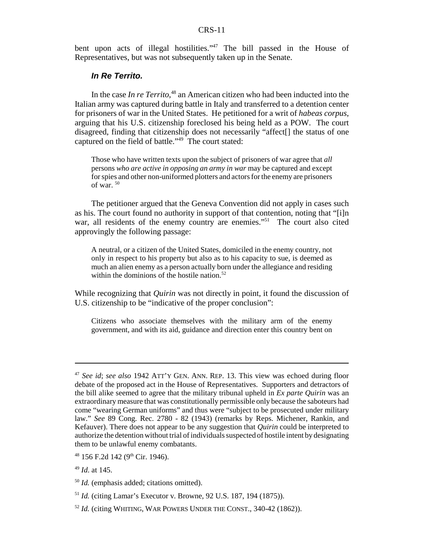bent upon acts of illegal hostilities."<sup>47</sup> The bill passed in the House of Representatives, but was not subsequently taken up in the Senate.

#### *In Re Territo.*

In the case *In re Territo*, 48 an American citizen who had been inducted into the Italian army was captured during battle in Italy and transferred to a detention center for prisoners of war in the United States. He petitioned for a writ of *habeas corpus*, arguing that his U.S. citizenship foreclosed his being held as a POW. The court disagreed, finding that citizenship does not necessarily "affect[] the status of one captured on the field of battle."<sup>49</sup> The court stated:

Those who have written texts upon the subject of prisoners of war agree that *all* persons *who are active in opposing an army in war* may be captured and except for spies and other non-uniformed plotters and actors for the enemy are prisoners of war. 50

The petitioner argued that the Geneva Convention did not apply in cases such as his. The court found no authority in support of that contention, noting that "[i]n war, all residents of the enemy country are enemies."<sup>51</sup> The court also cited approvingly the following passage:

A neutral, or a citizen of the United States, domiciled in the enemy country, not only in respect to his property but also as to his capacity to sue, is deemed as much an alien enemy as a person actually born under the allegiance and residing within the dominions of the hostile nation. $52$ 

While recognizing that *Quirin* was not directly in point, it found the discussion of U.S. citizenship to be "indicative of the proper conclusion":

Citizens who associate themselves with the military arm of the enemy government, and with its aid, guidance and direction enter this country bent on

<sup>47</sup> *See id*; *see also* 1942 ATT'Y GEN. ANN. REP. 13. This view was echoed during floor debate of the proposed act in the House of Representatives. Supporters and detractors of the bill alike seemed to agree that the military tribunal upheld in *Ex parte Quirin* was an extraordinary measure that was constitutionally permissible only because the saboteurs had come "wearing German uniforms" and thus were "subject to be prosecuted under military law." *See* 89 Cong. Rec. 2780 - 82 (1943) (remarks by Reps. Michener, Rankin, and Kefauver). There does not appear to be any suggestion that *Quirin* could be interpreted to authorize the detention without trial of individuals suspected of hostile intent by designating them to be unlawful enemy combatants.

 $48$  156 F.2d 142 (9<sup>th</sup> Cir. 1946).

<sup>49</sup> *Id*. at 145.

<sup>50</sup> *Id.* (emphasis added; citations omitted).

<sup>51</sup> *Id.* (citing Lamar's Executor v. Browne, 92 U.S. 187, 194 (1875)).

<sup>&</sup>lt;sup>52</sup> *Id.* (citing WHITING, WAR POWERS UNDER THE CONST., 340-42 (1862)).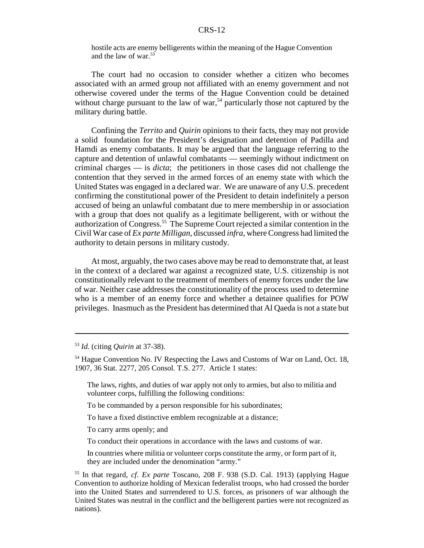hostile acts are enemy belligerents within the meaning of the Hague Convention and the law of war.53

The court had no occasion to consider whether a citizen who becomes associated with an armed group not affiliated with an enemy government and not otherwise covered under the terms of the Hague Convention could be detained without charge pursuant to the law of war,<sup>54</sup> particularly those not captured by the military during battle.

Confining the *Territo* and *Quirin* opinions to their facts, they may not provide a solid foundation for the President's designation and detention of Padilla and Hamdi as enemy combatants. It may be argued that the language referring to the capture and detention of unlawful combatants — seemingly without indictment on criminal charges — is *dicta*; the petitioners in those cases did not challenge the contention that they served in the armed forces of an enemy state with which the United States was engaged in a declared war. We are unaware of any U.S. precedent confirming the constitutional power of the President to detain indefinitely a person accused of being an unlawful combatant due to mere membership in or association with a group that does not qualify as a legitimate belligerent, with or without the authorization of Congress.55 The Supreme Court rejected a similar contention in the Civil War case of *Ex parte Milligan*, discussed *infra*, where Congress had limited the authority to detain persons in military custody.

At most, arguably, the two cases above may be read to demonstrate that, at least in the context of a declared war against a recognized state, U.S. citizenship is not constitutionally relevant to the treatment of members of enemy forces under the law of war. Neither case addresses the constitutionality of the process used to determine who is a member of an enemy force and whether a detainee qualifies for POW privileges. Inasmuch as the President has determined that Al Qaeda is not a state but

In countries where militia or volunteer corps constitute the army, or form part of it, they are included under the denomination "army."

<sup>53</sup> *Id.* (citing *Quirin* at 37-38).

<sup>54</sup> Hague Convention No. IV Respecting the Laws and Customs of War on Land, Oct. 18, 1907, 36 Stat. 2277, 205 Consol. T.S. 277. Article 1 states:

The laws, rights, and duties of war apply not only to armies, but also to militia and volunteer corps, fulfilling the following conditions:

To be commanded by a person responsible for his subordinates;

To have a fixed distinctive emblem recognizable at a distance;

To carry arms openly; and

To conduct their operations in accordance with the laws and customs of war.

<sup>55</sup> In that regard, *cf. Ex parte* Toscano, 208 F. 938 (S.D. Cal. 1913) (applying Hague Convention to authorize holding of Mexican federalist troops, who had crossed the border into the United States and surrendered to U.S. forces, as prisoners of war although the United States was neutral in the conflict and the belligerent parties were not recognized as nations).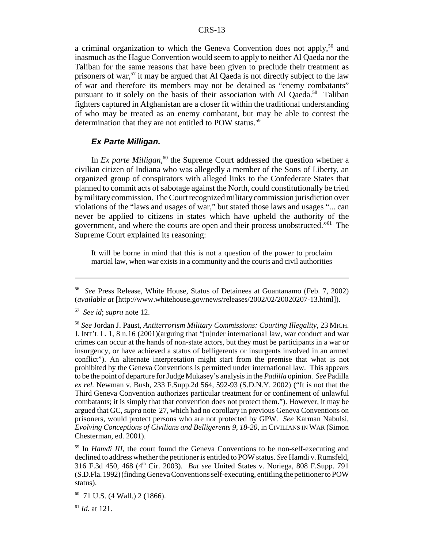a criminal organization to which the Geneva Convention does not apply,<sup>56</sup> and inasmuch as the Hague Convention would seem to apply to neither Al Qaeda nor the Taliban for the same reasons that have been given to preclude their treatment as prisoners of war,<sup>57</sup> it may be argued that Al Qaeda is not directly subject to the law of war and therefore its members may not be detained as "enemy combatants" pursuant to it solely on the basis of their association with Al Qaeda.<sup>58</sup> Taliban fighters captured in Afghanistan are a closer fit within the traditional understanding of who may be treated as an enemy combatant, but may be able to contest the determination that they are not entitled to POW status.<sup>59</sup>

#### *Ex Parte Milligan.*

In *Ex parte Milligan*,<sup>60</sup> the Supreme Court addressed the question whether a civilian citizen of Indiana who was allegedly a member of the Sons of Liberty, an organized group of conspirators with alleged links to the Confederate States that planned to commit acts of sabotage against the North, could constitutionally be tried by military commission. The Court recognized military commission jurisdiction over violations of the "laws and usages of war," but stated those laws and usages "... can never be applied to citizens in states which have upheld the authority of the government, and where the courts are open and their process unobstructed."61 The Supreme Court explained its reasoning:

It will be borne in mind that this is not a question of the power to proclaim martial law, when war exists in a community and the courts and civil authorities

<sup>56</sup> *See* Press Release, White House, Status of Detainees at Guantanamo (Feb. 7, 2002) (*available at* [http://www.whitehouse.gov/news/releases/2002/02/20020207-13.html]).

<sup>57</sup> *See id*; *supra* note 12.

<sup>58</sup> *See* Jordan J. Paust, *Antiterrorism Military Commissions: Courting Illegality*, 23 MICH. J. INT'L L. 1, 8 n.16 (2001)(arguing that "[u]nder international law, war conduct and war crimes can occur at the hands of non-state actors, but they must be participants in a war or insurgency, or have achieved a status of belligerents or insurgents involved in an armed conflict"). An alternate interpretation might start from the premise that what is not prohibited by the Geneva Conventions is permitted under international law. This appears to be the point of departure for Judge Mukasey's analysis in the *Padilla* opinion. *See* Padilla *ex rel.* Newman v. Bush, 233 F.Supp.2d 564, 592-93 (S.D.N.Y. 2002) ("It is not that the Third Geneva Convention authorizes particular treatment for or confinement of unlawful combatants; it is simply that that convention does not protect them."). However, it may be argued that GC, *supra* note 27, which had no corollary in previous Geneva Conventions on prisoners, would protect persons who are not protected by GPW. *See* Karman Nabulsi, *Evolving Conceptions of Civilians and Belligerents 9, 18-20*, in CIVILIANS IN WAR (Simon Chesterman, ed. 2001).

<sup>&</sup>lt;sup>59</sup> In *Hamdi III*, the court found the Geneva Conventions to be non-self-executing and declined to address whether the petitioner is entitled to POW status. *See* Hamdi v. Rumsfeld, 316 F.3d 450, 468 (4th Cir. 2003)*. But see* United States v. Noriega, 808 F.Supp. 791 (S.D.Fla. 1992) (finding Geneva Conventions self-executing, entitling the petitioner to POW status).

 $60$  71 U.S. (4 Wall.) 2 (1866).

<sup>61</sup> *Id.* at 121.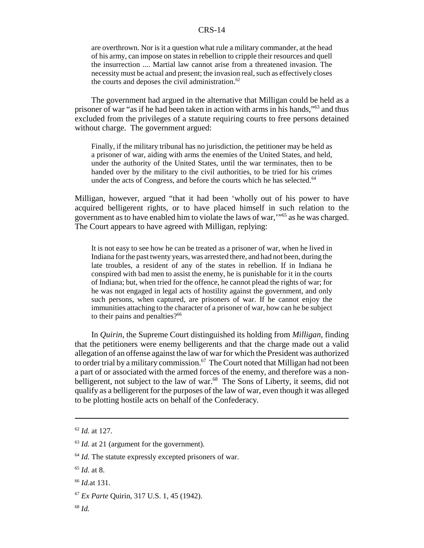are overthrown. Nor is it a question what rule a military commander, at the head of his army, can impose on states in rebellion to cripple their resources and quell the insurrection .... Martial law cannot arise from a threatened invasion. The necessity must be actual and present; the invasion real, such as effectively closes the courts and deposes the civil administration. $62$ 

The government had argued in the alternative that Milligan could be held as a prisoner of war "as if he had been taken in action with arms in his hands,"63 and thus excluded from the privileges of a statute requiring courts to free persons detained without charge. The government argued:

Finally, if the military tribunal has no jurisdiction, the petitioner may be held as a prisoner of war, aiding with arms the enemies of the United States, and held, under the authority of the United States, until the war terminates, then to be handed over by the military to the civil authorities, to be tried for his crimes under the acts of Congress, and before the courts which he has selected.<sup>64</sup>

Milligan, however, argued "that it had been 'wholly out of his power to have acquired belligerent rights, or to have placed himself in such relation to the government as to have enabled him to violate the laws of war,'"65 as he was charged. The Court appears to have agreed with Milligan, replying:

It is not easy to see how he can be treated as a prisoner of war, when he lived in Indiana for the past twenty years, was arrested there, and had not been, during the late troubles, a resident of any of the states in rebellion. If in Indiana he conspired with bad men to assist the enemy, he is punishable for it in the courts of Indiana; but, when tried for the offence, he cannot plead the rights of war; for he was not engaged in legal acts of hostility against the government, and only such persons, when captured, are prisoners of war. If he cannot enjoy the immunities attaching to the character of a prisoner of war, how can he be subject to their pains and penalties? $66$ 

In *Quirin*, the Supreme Court distinguished its holding from *Milligan,* finding that the petitioners were enemy belligerents and that the charge made out a valid allegation of an offense against the law of war for which the President was authorized to order trial by a military commission.<sup>67</sup> The Court noted that Milligan had not been a part of or associated with the armed forces of the enemy, and therefore was a nonbelligerent, not subject to the law of war.<sup>68</sup> The Sons of Liberty, it seems, did not qualify as a belligerent for the purposes of the law of war, even though it was alleged to be plotting hostile acts on behalf of the Confederacy.

<sup>62</sup> *Id.* at 127.

<sup>&</sup>lt;sup>63</sup> *Id.* at 21 (argument for the government).

<sup>&</sup>lt;sup>64</sup> *Id*. The statute expressly excepted prisoners of war.

<sup>65</sup> *Id*. at 8.

<sup>66</sup> *Id.*at 131.

<sup>67</sup> *Ex Parte* Quirin, 317 U.S. 1, 45 (1942).

<sup>68</sup> *Id.*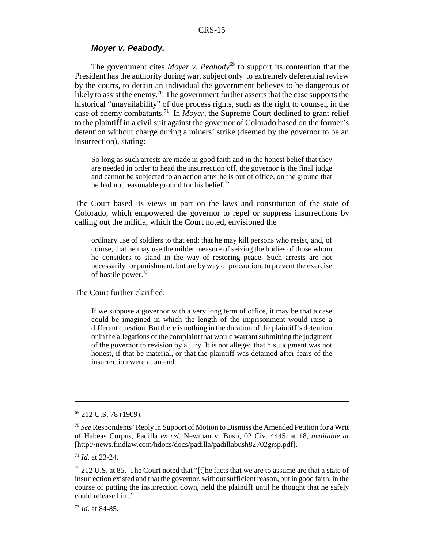#### *Moyer v. Peabody.*

The government cites *Moyer v. Peabody*<sup>69</sup> to support its contention that the President has the authority during war, subject only to extremely deferential review by the courts, to detain an individual the government believes to be dangerous or likely to assist the enemy.<sup>70</sup> The government further asserts that the case supports the historical "unavailability" of due process rights, such as the right to counsel, in the case of enemy combatants.71 In *Moyer*, the Supreme Court declined to grant relief to the plaintiff in a civil suit against the governor of Colorado based on the former's detention without charge during a miners' strike (deemed by the governor to be an insurrection), stating:

So long as such arrests are made in good faith and in the honest belief that they are needed in order to head the insurrection off, the governor is the final judge and cannot be subjected to an action after he is out of office, on the ground that he had not reasonable ground for his belief.72

The Court based its views in part on the laws and constitution of the state of Colorado, which empowered the governor to repel or suppress insurrections by calling out the militia, which the Court noted, envisioned the

ordinary use of soldiers to that end; that he may kill persons who resist, and, of course, that he may use the milder measure of seizing the bodies of those whom he considers to stand in the way of restoring peace. Such arrests are not necessarily for punishment, but are by way of precaution, to prevent the exercise of hostile power.<sup>73</sup>

The Court further clarified:

If we suppose a governor with a very long term of office, it may be that a case could be imagined in which the length of the imprisonment would raise a different question. But there is nothing in the duration of the plaintiff's detention or in the allegations of the complaint that would warrant submitting the judgment of the governor to revision by a jury. It is not alleged that his judgment was not honest, if that be material, or that the plaintiff was detained after fears of the insurrection were at an end.

<sup>69 212</sup> U.S. 78 (1909).

<sup>70</sup> *See* Respondents' Reply in Support of Motion to Dismiss the Amended Petition for a Writ of Habeas Corpus, Padilla *ex rel.* Newman v. Bush, 02 Civ. 4445, at 18, *available at* [http://news.findlaw.com/hdocs/docs/padilla/padillabush82702grsp.pdf].

<sup>71</sup> *Id.* at 23-24.

 $72$  212 U.S. at 85. The Court noted that "[t]he facts that we are to assume are that a state of insurrection existed and that the governor, without sufficient reason, but in good faith, in the course of putting the insurrection down, held the plaintiff until he thought that he safely could release him."

<sup>73</sup> *Id.* at 84-85.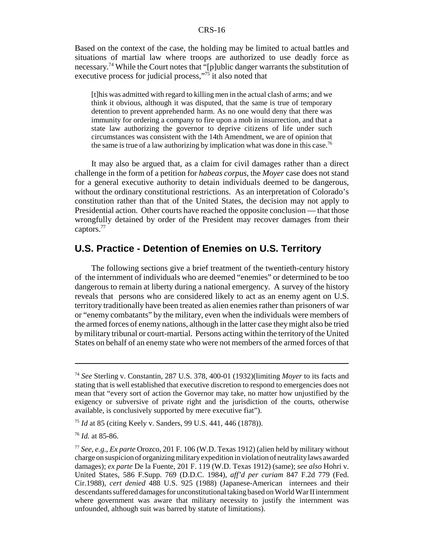Based on the context of the case, the holding may be limited to actual battles and situations of martial law where troops are authorized to use deadly force as necessary.<sup>74</sup> While the Court notes that "[p]ublic danger warrants the substitution of executive process for judicial process,"<sup>75</sup> it also noted that

[t]his was admitted with regard to killing men in the actual clash of arms; and we think it obvious, although it was disputed, that the same is true of temporary detention to prevent apprehended harm. As no one would deny that there was immunity for ordering a company to fire upon a mob in insurrection, and that a state law authorizing the governor to deprive citizens of life under such circumstances was consistent with the 14th Amendment, we are of opinion that the same is true of a law authorizing by implication what was done in this case.<sup>76</sup>

It may also be argued that, as a claim for civil damages rather than a direct challenge in the form of a petition for *habeas corpus*, the *Moyer* case does not stand for a general executive authority to detain individuals deemed to be dangerous, without the ordinary constitutional restrictions. As an interpretation of Colorado's constitution rather than that of the United States, the decision may not apply to Presidential action. Other courts have reached the opposite conclusion — that those wrongfully detained by order of the President may recover damages from their captors.<sup>77</sup>

# **U.S. Practice - Detention of Enemies on U.S. Territory**

The following sections give a brief treatment of the twentieth-century history of the internment of individuals who are deemed "enemies" or determined to be too dangerous to remain at liberty during a national emergency. A survey of the history reveals that persons who are considered likely to act as an enemy agent on U.S. territory traditionally have been treated as alien enemies rather than prisoners of war or "enemy combatants" by the military, even when the individuals were members of the armed forces of enemy nations, although in the latter case they might also be tried by military tribunal or court-martial. Persons acting within the territory of the United States on behalf of an enemy state who were not members of the armed forces of that

<sup>74</sup> *See* Sterling v. Constantin, 287 U.S. 378, 400-01 (1932)(limiting *Moyer* to its facts and stating that is well established that executive discretion to respond to emergencies does not mean that "every sort of action the Governor may take, no matter how unjustified by the exigency or subversive of private right and the jurisdiction of the courts, otherwise available, is conclusively supported by mere executive fiat").

<sup>75</sup> *Id* at 85 (citing Keely v. Sanders, 99 U.S. 441, 446 (1878)).

<sup>76</sup> *Id.* at 85-86.

<sup>77</sup> *See, e.g., Ex parte* Orozco, 201 F. 106 (W.D. Texas 1912) (alien held by military without charge on suspicion of organizing military expedition in violation of neutrality laws awarded damages); *ex parte* De la Fuente, 201 F. 119 (W.D. Texas 1912) (same); *see also* Hohri v. United States, 586 F.Supp. 769 (D.D.C. 1984), *aff'd per curiam* 847 F.2d 779 (Fed. Cir.1988), *cert denied* 488 U.S. 925 (1988) (Japanese-American internees and their descendants suffered damages for unconstitutional taking based on World War II internment where government was aware that military necessity to justify the internment was unfounded, although suit was barred by statute of limitations).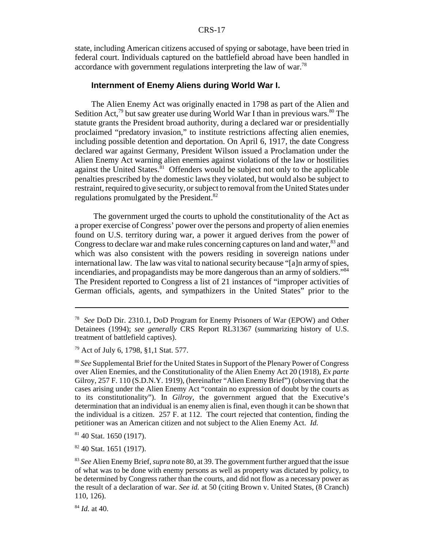state, including American citizens accused of spying or sabotage, have been tried in federal court. Individuals captured on the battlefield abroad have been handled in accordance with government regulations interpreting the law of war.<sup>78</sup>

#### **Internment of Enemy Aliens during World War I.**

The Alien Enemy Act was originally enacted in 1798 as part of the Alien and Sedition Act,<sup>79</sup> but saw greater use during World War I than in previous wars.<sup>80</sup> The statute grants the President broad authority, during a declared war or presidentially proclaimed "predatory invasion," to institute restrictions affecting alien enemies, including possible detention and deportation. On April 6, 1917, the date Congress declared war against Germany, President Wilson issued a Proclamation under the Alien Enemy Act warning alien enemies against violations of the law or hostilities against the United States. $81$  Offenders would be subject not only to the applicable penalties prescribed by the domestic laws they violated, but would also be subject to restraint, required to give security, or subject to removal from the United States under regulations promulgated by the President.<sup>82</sup>

 The government urged the courts to uphold the constitutionality of the Act as a proper exercise of Congress' power over the persons and property of alien enemies found on U.S. territory during war, a power it argued derives from the power of Congress to declare war and make rules concerning captures on land and water,<sup>83</sup> and which was also consistent with the powers residing in sovereign nations under international law. The law was vital to national security because "[a]n army of spies, incendiaries, and propagandists may be more dangerous than an army of soldiers."<sup>84</sup> The President reported to Congress a list of 21 instances of "improper activities of German officials, agents, and sympathizers in the United States" prior to the

82 40 Stat. 1651 (1917).

<sup>84</sup> *Id.* at 40.

<sup>78</sup> *See* DoD Dir. 2310.1, DoD Program for Enemy Prisoners of War (EPOW) and Other Detainees (1994); *see generally* CRS Report RL31367 (summarizing history of U.S. treatment of battlefield captives).

<sup>79</sup> Act of July 6, 1798, §1,1 Stat. 577.

<sup>80</sup> *See* Supplemental Brief for the United States in Support of the Plenary Power of Congress over Alien Enemies, and the Constitutionality of the Alien Enemy Act 20 (1918), *Ex parte* Gilroy, 257 F. 110 (S.D.N.Y. 1919), (hereinafter "Alien Enemy Brief") (observing that the cases arising under the Alien Enemy Act "contain no expression of doubt by the courts as to its constitutionality"). In *Gilroy*, the government argued that the Executive's determination that an individual is an enemy alien is final, even though it can be shown that the individual is a citizen. 257 F. at 112. The court rejected that contention, finding the petitioner was an American citizen and not subject to the Alien Enemy Act. *Id.*

<sup>81 40</sup> Stat. 1650 (1917).

<sup>83</sup> *See* Alien Enemy Brief, *supra* note 80, at 39. The government further argued that the issue of what was to be done with enemy persons as well as property was dictated by policy, to be determined by Congress rather than the courts, and did not flow as a necessary power as the result of a declaration of war. *See id.* at 50 (citing Brown v. United States, (8 Cranch) 110, 126).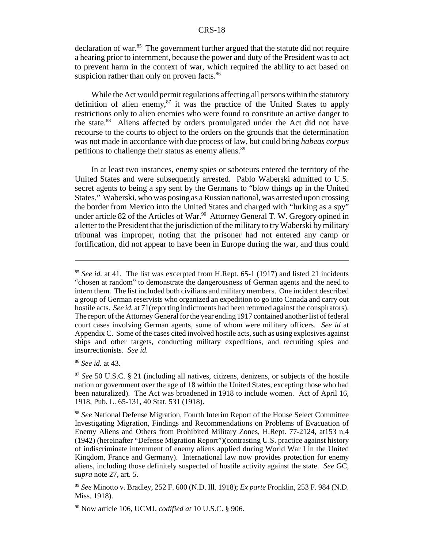declaration of war.<sup>85</sup> The government further argued that the statute did not require a hearing prior to internment, because the power and duty of the President was to act to prevent harm in the context of war, which required the ability to act based on suspicion rather than only on proven facts.<sup>86</sup>

While the Act would permit regulations affecting all persons within the statutory definition of alien enemy, $87$  it was the practice of the United States to apply restrictions only to alien enemies who were found to constitute an active danger to the state.88 Aliens affected by orders promulgated under the Act did not have recourse to the courts to object to the orders on the grounds that the determination was not made in accordance with due process of law, but could bring *habeas corpus* petitions to challenge their status as enemy aliens.<sup>89</sup>

In at least two instances, enemy spies or saboteurs entered the territory of the United States and were subsequently arrested. Pablo Waberski admitted to U.S. secret agents to being a spy sent by the Germans to "blow things up in the United States." Waberski, who was posing as a Russian national, was arrested upon crossing the border from Mexico into the United States and charged with "lurking as a spy" under article 82 of the Articles of War.<sup>90</sup> Attorney General T. W. Gregory opined in a letter to the President that the jurisdiction of the military to try Waberski by military tribunal was improper, noting that the prisoner had not entered any camp or fortification, did not appear to have been in Europe during the war, and thus could

<sup>&</sup>lt;sup>85</sup> See id. at 41. The list was excerpted from H.Rept. 65-1 (1917) and listed 21 incidents "chosen at random" to demonstrate the dangerousness of German agents and the need to intern them. The list included both civilians and military members. One incident described a group of German reservists who organized an expedition to go into Canada and carry out hostile acts. *See id.* at 71(reporting indictments had been returned against the conspirators). The report of the Attorney General for the year ending 1917 contained another list of federal court cases involving German agents, some of whom were military officers. *See id* at Appendix C. Some of the cases cited involved hostile acts, such as using explosives against ships and other targets, conducting military expeditions, and recruiting spies and insurrectionists. *See id.*

<sup>86</sup> *See id.* at 43.

<sup>87</sup> *See* 50 U.S.C. § 21 (including all natives, citizens, denizens, or subjects of the hostile nation or government over the age of 18 within the United States, excepting those who had been naturalized). The Act was broadened in 1918 to include women. Act of April 16, 1918, Pub. L. 65-131, 40 Stat. 531 (1918).

<sup>88</sup> *See* National Defense Migration, Fourth Interim Report of the House Select Committee Investigating Migration, Findings and Recommendations on Problems of Evacuation of Enemy Aliens and Others from Prohibited Military Zones, H.Rept. 77-2124, at153 n.4 (1942) (hereinafter "Defense Migration Report")(contrasting U.S. practice against history of indiscriminate internment of enemy aliens applied during World War I in the United Kingdom, France and Germany). International law now provides protection for enemy aliens, including those definitely suspected of hostile activity against the state. *See* GC, *supra* note 27, art. 5.

<sup>89</sup> *See* Minotto v. Bradley, 252 F. 600 (N.D. Ill. 1918); *Ex parte* Fronklin, 253 F. 984 (N.D. Miss. 1918).

<sup>90</sup> Now article 106, UCMJ, *codified at* 10 U.S.C. § 906.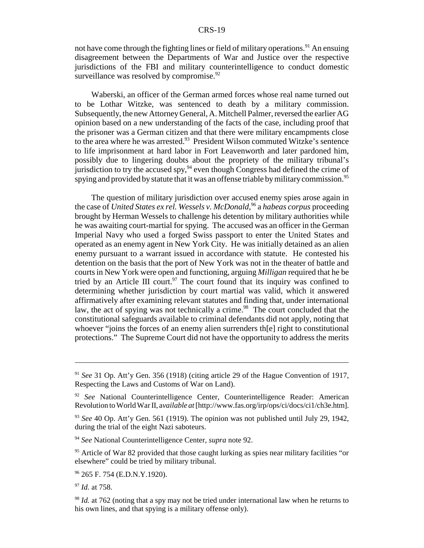not have come through the fighting lines or field of military operations.<sup>91</sup> An ensuing disagreement between the Departments of War and Justice over the respective jurisdictions of the FBI and military counterintelligence to conduct domestic surveillance was resolved by compromise. $92$ 

Waberski, an officer of the German armed forces whose real name turned out to be Lothar Witzke, was sentenced to death by a military commission. Subsequently, the new Attorney General, A. Mitchell Palmer, reversed the earlier AG opinion based on a new understanding of the facts of the case, including proof that the prisoner was a German citizen and that there were military encampments close to the area where he was arrested.<sup>93</sup> President Wilson commuted Witzke's sentence to life imprisonment at hard labor in Fort Leavenworth and later pardoned him, possibly due to lingering doubts about the propriety of the military tribunal's jurisdiction to try the accused spy,  $94$  even though Congress had defined the crime of spying and provided by statute that it was an offense triable by military commission.<sup>95</sup>

The question of military jurisdiction over accused enemy spies arose again in the case of *United States ex rel. Wessels v. McDonald*, 96 a *habeas corpus* proceeding brought by Herman Wessels to challenge his detention by military authorities while he was awaiting court-martial for spying. The accused was an officer in the German Imperial Navy who used a forged Swiss passport to enter the United States and operated as an enemy agent in New York City. He was initially detained as an alien enemy pursuant to a warrant issued in accordance with statute. He contested his detention on the basis that the port of New York was not in the theater of battle and courts in New York were open and functioning, arguing *Milligan* required that he be tried by an Article III court.<sup>97</sup> The court found that its inquiry was confined to determining whether jurisdiction by court martial was valid, which it answered affirmatively after examining relevant statutes and finding that, under international law, the act of spying was not technically a crime.<sup>98</sup> The court concluded that the constitutional safeguards available to criminal defendants did not apply, noting that whoever "joins the forces of an enemy alien surrenders th[e] right to constitutional protections." The Supreme Court did not have the opportunity to address the merits

<sup>97</sup> *Id.* at 758.

<sup>91</sup> *See* 31 Op. Att'y Gen. 356 (1918) (citing article 29 of the Hague Convention of 1917, Respecting the Laws and Customs of War on Land).

<sup>&</sup>lt;sup>92</sup> *See* National Counterintelligence Center, Counterintelligence Reader: American Revolution to World War II, a*vailable at* [http://www.fas.org/irp/ops/ci/docs/ci1/ch3e.htm].

<sup>93</sup> *See* 40 Op. Att'y Gen. 561 (1919). The opinion was not published until July 29, 1942, during the trial of the eight Nazi saboteurs.

<sup>94</sup> *See* National Counterintelligence Center, *supra* note 92.

 $95$  Article of War 82 provided that those caught lurking as spies near military facilities "or elsewhere" could be tried by military tribunal.

<sup>96 265</sup> F. 754 (E.D.N.Y.1920).

<sup>&</sup>lt;sup>98</sup> *Id.* at 762 (noting that a spy may not be tried under international law when he returns to his own lines, and that spying is a military offense only).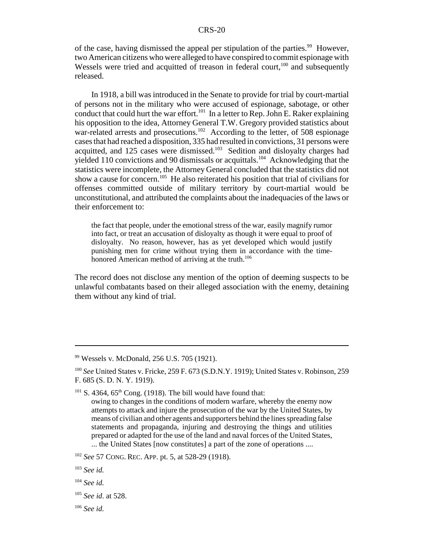of the case, having dismissed the appeal per stipulation of the parties.<sup>99</sup> However, two American citizens who were alleged to have conspired to commit espionage with Wessels were tried and acquitted of treason in federal court, $100$  and subsequently released.

In 1918, a bill was introduced in the Senate to provide for trial by court-martial of persons not in the military who were accused of espionage, sabotage, or other conduct that could hurt the war effort.<sup>101</sup> In a letter to Rep. John E. Raker explaining his opposition to the idea, Attorney General T.W. Gregory provided statistics about war-related arrests and prosecutions.<sup>102</sup> According to the letter, of 508 espionage cases that had reached a disposition, 335 had resulted in convictions, 31 persons were acquitted, and 125 cases were dismissed.103 Sedition and disloyalty charges had yielded 110 convictions and 90 dismissals or acquittals.<sup>104</sup> Acknowledging that the statistics were incomplete, the Attorney General concluded that the statistics did not show a cause for concern.<sup>105</sup> He also reiterated his position that trial of civilians for offenses committed outside of military territory by court-martial would be unconstitutional, and attributed the complaints about the inadequacies of the laws or their enforcement to:

the fact that people, under the emotional stress of the war, easily magnify rumor into fact, or treat an accusation of disloyalty as though it were equal to proof of disloyalty. No reason, however, has as yet developed which would justify punishing men for crime without trying them in accordance with the timehonored American method of arriving at the truth.<sup>106</sup>

The record does not disclose any mention of the option of deeming suspects to be unlawful combatants based on their alleged association with the enemy, detaining them without any kind of trial.

<sup>99</sup> Wessels v. McDonald, 256 U.S. 705 (1921).

<sup>100</sup> *See* United States v. Fricke, 259 F. 673 (S.D.N.Y. 1919); United States v. Robinson, 259 F. 685 (S. D. N. Y. 1919).

 $101$  S. 4364, 65<sup>th</sup> Cong. (1918). The bill would have found that:

owing to changes in the conditions of modern warfare, whereby the enemy now attempts to attack and injure the prosecution of the war by the United States, by means of civilian and other agents and supporters behind the lines spreading false statements and propaganda, injuring and destroying the things and utilities prepared or adapted for the use of the land and naval forces of the United States, ... the United States [now constitutes] a part of the zone of operations ....

<sup>102</sup> *See* 57 CONG. REC. APP. pt. 5, at 528-29 (1918).

<sup>103</sup> *See id.*

<sup>104</sup> *See id.*

<sup>105</sup> *See id*. at 528.

<sup>106</sup> *See id.*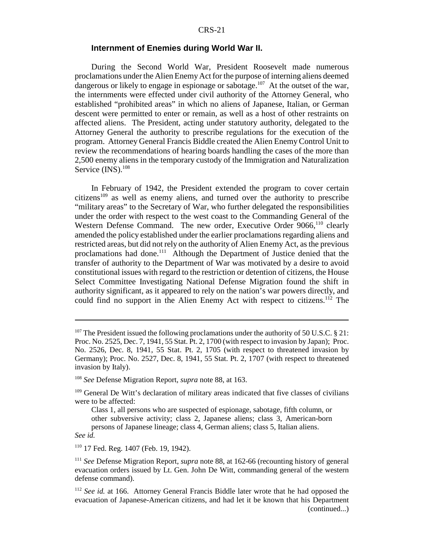#### **Internment of Enemies during World War II.**

During the Second World War, President Roosevelt made numerous proclamations under the Alien Enemy Act for the purpose of interning aliens deemed dangerous or likely to engage in espionage or sabotage.<sup>107</sup> At the outset of the war, the internments were effected under civil authority of the Attorney General, who established "prohibited areas" in which no aliens of Japanese, Italian, or German descent were permitted to enter or remain, as well as a host of other restraints on affected aliens. The President, acting under statutory authority, delegated to the Attorney General the authority to prescribe regulations for the execution of the program. Attorney General Francis Biddle created the Alien Enemy Control Unit to review the recommendations of hearing boards handling the cases of the more than 2,500 enemy aliens in the temporary custody of the Immigration and Naturalization Service (INS).<sup>108</sup>

In February of 1942, the President extended the program to cover certain  $citizens<sup>109</sup>$  as well as enemy aliens, and turned over the authority to prescribe "military areas" to the Secretary of War, who further delegated the responsibilities under the order with respect to the west coast to the Commanding General of the Western Defense Command. The new order, Executive Order 9066,<sup>110</sup> clearly amended the policy established under the earlier proclamations regarding aliens and restricted areas, but did not rely on the authority of Alien Enemy Act, as the previous proclamations had done.<sup>111</sup> Although the Department of Justice denied that the transfer of authority to the Department of War was motivated by a desire to avoid constitutional issues with regard to the restriction or detention of citizens, the House Select Committee Investigating National Defense Migration found the shift in authority significant, as it appeared to rely on the nation's war powers directly, and could find no support in the Alien Enemy Act with respect to citizens.<sup>112</sup> The

*See id.* 

<sup>110</sup> 17 Fed. Reg. 1407 (Feb. 19, 1942).

<sup>&</sup>lt;sup>107</sup> The President issued the following proclamations under the authority of 50 U.S.C. § 21: Proc. No. 2525, Dec. 7, 1941, 55 Stat. Pt. 2, 1700 (with respect to invasion by Japan); Proc. No. 2526, Dec. 8, 1941, 55 Stat. Pt. 2, 1705 (with respect to threatened invasion by Germany); Proc. No. 2527, Dec. 8, 1941, 55 Stat. Pt. 2, 1707 (with respect to threatened invasion by Italy).

<sup>108</sup> *See* Defense Migration Report, *supra* note 88, at 163.

 $109$  General De Witt's declaration of military areas indicated that five classes of civilians were to be affected:

Class 1, all persons who are suspected of espionage, sabotage, fifth column, or other subversive activity; class 2, Japanese aliens; class 3, American-born persons of Japanese lineage; class 4, German aliens; class 5, Italian aliens.

<sup>111</sup> *See* Defense Migration Report, *supra* note 88, at 162-66 (recounting history of general evacuation orders issued by Lt. Gen. John De Witt, commanding general of the western defense command).

<sup>112</sup> *See id.* at 166. Attorney General Francis Biddle later wrote that he had opposed the evacuation of Japanese-American citizens, and had let it be known that his Department (continued...)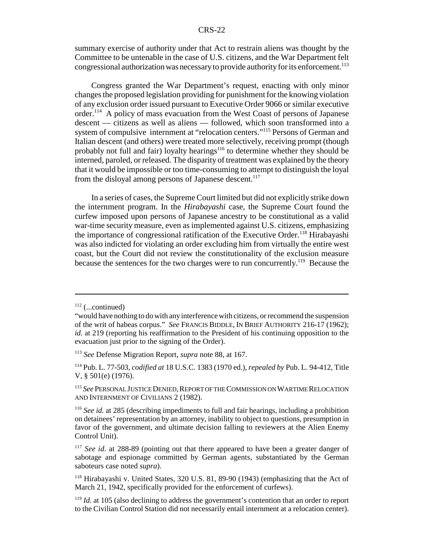summary exercise of authority under that Act to restrain aliens was thought by the Committee to be untenable in the case of U.S. citizens, and the War Department felt congressional authorization was necessary to provide authority for its enforcement.<sup>113</sup>

Congress granted the War Department's request, enacting with only minor changes the proposed legislation providing for punishment for the knowing violation of any exclusion order issued pursuant to Executive Order 9066 or similar executive order.114 A policy of mass evacuation from the West Coast of persons of Japanese descent — citizens as well as aliens — followed, which soon transformed into a system of compulsive internment at "relocation centers."115 Persons of German and Italian descent (and others) were treated more selectively, receiving prompt (though probably not full and fair) loyalty hearings<sup>116</sup> to determine whether they should be interned, paroled, or released. The disparity of treatment was explained by the theory that it would be impossible or too time-consuming to attempt to distinguish the loyal from the disloyal among persons of Japanese descent.<sup>117</sup>

In a series of cases, the Supreme Court limited but did not explicitly strike down the internment program. In the *Hirabayashi* case, the Supreme Court found the curfew imposed upon persons of Japanese ancestry to be constitutional as a valid war-time security measure, even as implemented against U.S. citizens, emphasizing the importance of congressional ratification of the Executive Order.<sup>118</sup> Hirabayashi was also indicted for violating an order excluding him from virtually the entire west coast, but the Court did not review the constitutionality of the exclusion measure because the sentences for the two charges were to run concurrently.119 Because the

 $112$  (...continued)

<sup>&</sup>quot;would have nothing to do with any interference with citizens, or recommend the suspension of the writ of habeas corpus." *See* FRANCIS BIDDLE, IN BRIEF AUTHORITY 216-17 (1962); *id.* at 219 (reporting his reaffirmation to the President of his continuing opposition to the evacuation just prior to the signing of the Order).

<sup>113</sup> *See* Defense Migration Report, *supra* note 88, at 167.

<sup>114</sup> Pub. L. 77-503, *codified at* 18 U.S.C. 1383 (1970 ed.), *repealed by* Pub. L. 94-412, Title V, § 501(e) (1976).

<sup>&</sup>lt;sup>115</sup> See PERSONAL JUSTICE DENIED, REPORT OF THE COMMISSION ON WARTIME RELOCATION AND INTERNMENT OF CIVILIANS 2 (1982).

<sup>116</sup> *See id.* at 285 (describing impediments to full and fair hearings, including a prohibition on detainees' representation by an attorney, inability to object to questions, presumption in favor of the government, and ultimate decision falling to reviewers at the Alien Enemy Control Unit).

<sup>&</sup>lt;sup>117</sup> *See id.* at 288-89 (pointing out that there appeared to have been a greater danger of sabotage and espionage committed by German agents, substantiated by the German saboteurs case noted *supra*).

<sup>118</sup> Hirabayashi v. United States, 320 U.S. 81, 89-90 (1943) (emphasizing that the Act of March 21, 1942, specifically provided for the enforcement of curfews).

<sup>&</sup>lt;sup>119</sup> *Id.* at 105 (also declining to address the government's contention that an order to report to the Civilian Control Station did not necessarily entail internment at a relocation center).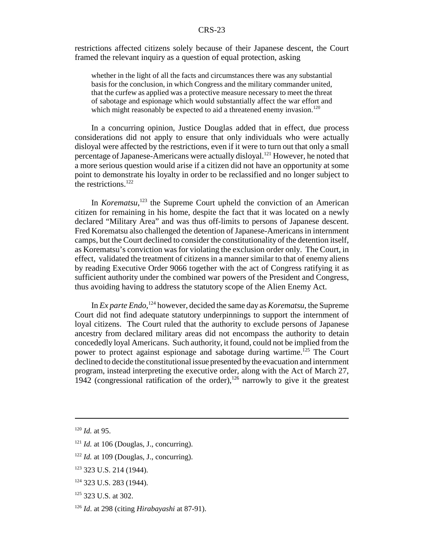restrictions affected citizens solely because of their Japanese descent, the Court framed the relevant inquiry as a question of equal protection, asking

whether in the light of all the facts and circumstances there was any substantial basis for the conclusion, in which Congress and the military commander united, that the curfew as applied was a protective measure necessary to meet the threat of sabotage and espionage which would substantially affect the war effort and which might reasonably be expected to aid a threatened enemy invasion.<sup>120</sup>

In a concurring opinion, Justice Douglas added that in effect, due process considerations did not apply to ensure that only individuals who were actually disloyal were affected by the restrictions, even if it were to turn out that only a small percentage of Japanese-Americans were actually disloyal.121 However, he noted that a more serious question would arise if a citizen did not have an opportunity at some point to demonstrate his loyalty in order to be reclassified and no longer subject to the restrictions.<sup>122</sup>

In *Korematsu*,<sup>123</sup> the Supreme Court upheld the conviction of an American citizen for remaining in his home, despite the fact that it was located on a newly declared "Military Area" and was thus off-limits to persons of Japanese descent. Fred Korematsu also challenged the detention of Japanese-Americans in internment camps, but the Court declined to consider the constitutionality of the detention itself, as Korematsu's conviction was for violating the exclusion order only. The Court, in effect, validated the treatment of citizens in a manner similar to that of enemy aliens by reading Executive Order 9066 together with the act of Congress ratifying it as sufficient authority under the combined war powers of the President and Congress, thus avoiding having to address the statutory scope of the Alien Enemy Act.

In *Ex parte Endo*, 124 however, decided the same day as *Korematsu*, the Supreme Court did not find adequate statutory underpinnings to support the internment of loyal citizens. The Court ruled that the authority to exclude persons of Japanese ancestry from declared military areas did not encompass the authority to detain concededly loyal Americans. Such authority, it found, could not be implied from the power to protect against espionage and sabotage during wartime.<sup>125</sup> The Court declined to decide the constitutional issue presented by the evacuation and internment program, instead interpreting the executive order, along with the Act of March 27, 1942 (congressional ratification of the order),<sup>126</sup> narrowly to give it the greatest

<sup>120</sup> *Id.* at 95.

 $121$  *Id.* at 106 (Douglas, J., concurring).

<sup>&</sup>lt;sup>122</sup> *Id.* at 109 (Douglas, J., concurring).

<sup>123 323</sup> U.S. 214 (1944).

<sup>&</sup>lt;sup>124</sup> 323 U.S. 283 (1944).

<sup>125 323</sup> U.S. at 302.

<sup>126</sup> *Id*. at 298 (citing *Hirabayashi* at 87-91).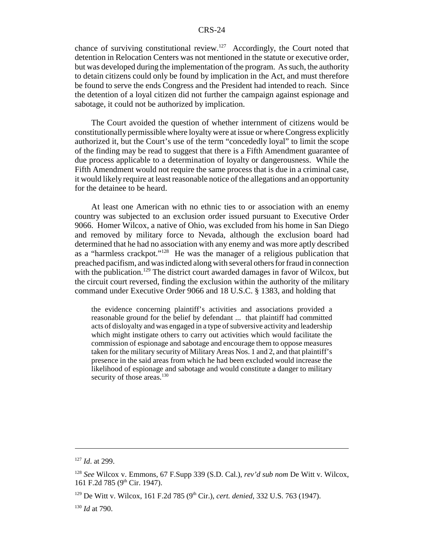chance of surviving constitutional review.<sup>127</sup> Accordingly, the Court noted that detention in Relocation Centers was not mentioned in the statute or executive order, but was developed during the implementation of the program. As such, the authority to detain citizens could only be found by implication in the Act, and must therefore be found to serve the ends Congress and the President had intended to reach. Since the detention of a loyal citizen did not further the campaign against espionage and sabotage, it could not be authorized by implication.

The Court avoided the question of whether internment of citizens would be constitutionally permissible where loyalty were at issue or where Congress explicitly authorized it, but the Court's use of the term "concededly loyal" to limit the scope of the finding may be read to suggest that there is a Fifth Amendment guarantee of due process applicable to a determination of loyalty or dangerousness. While the Fifth Amendment would not require the same process that is due in a criminal case, it would likely require at least reasonable notice of the allegations and an opportunity for the detainee to be heard.

At least one American with no ethnic ties to or association with an enemy country was subjected to an exclusion order issued pursuant to Executive Order 9066. Homer Wilcox, a native of Ohio, was excluded from his home in San Diego and removed by military force to Nevada, although the exclusion board had determined that he had no association with any enemy and was more aptly described as a "harmless crackpot."128 He was the manager of a religious publication that preached pacifism, and was indicted along with several others for fraud in connection with the publication.<sup>129</sup> The district court awarded damages in favor of Wilcox, but the circuit court reversed, finding the exclusion within the authority of the military command under Executive Order 9066 and 18 U.S.C. § 1383, and holding that

the evidence concerning plaintiff's activities and associations provided a reasonable ground for the belief by defendant ... that plaintiff had committed acts of disloyalty and was engaged in a type of subversive activity and leadership which might instigate others to carry out activities which would facilitate the commission of espionage and sabotage and encourage them to oppose measures taken for the military security of Military Areas Nos. 1 and 2, and that plaintiff's presence in the said areas from which he had been excluded would increase the likelihood of espionage and sabotage and would constitute a danger to military security of those areas.<sup>130</sup>

<sup>127</sup> *Id*. at 299.

<sup>128</sup> *See* Wilcox v. Emmons, 67 F.Supp 339 (S.D. Cal.), *rev'd sub nom* De Witt v. Wilcox, 161 F.2d 785 (9<sup>th</sup> Cir. 1947).

<sup>&</sup>lt;sup>129</sup> De Witt v. Wilcox, 161 F.2d 785 (9<sup>th</sup> Cir.), *cert. denied*, 332 U.S. 763 (1947).

<sup>130</sup> *Id* at 790.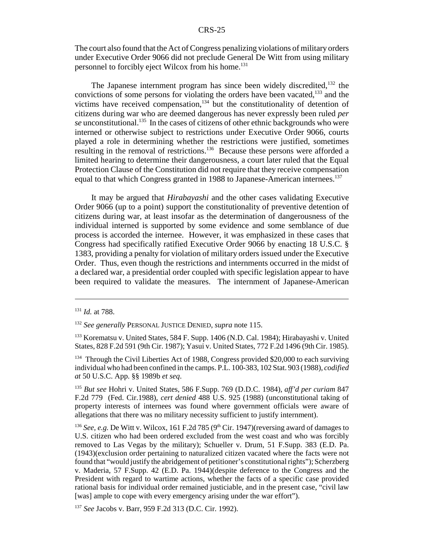The court also found that the Act of Congress penalizing violations of military orders under Executive Order 9066 did not preclude General De Witt from using military personnel to forcibly eject Wilcox from his home.<sup>131</sup>

The Japanese internment program has since been widely discredited,<sup>132</sup> the convictions of some persons for violating the orders have been vacated, $133$  and the victims have received compensation, $134$  but the constitutionality of detention of citizens during war who are deemed dangerous has never expressly been ruled *per se* unconstitutional.<sup>135</sup> In the cases of citizens of other ethnic backgrounds who were interned or otherwise subject to restrictions under Executive Order 9066, courts played a role in determining whether the restrictions were justified, sometimes resulting in the removal of restrictions.<sup>136</sup> Because these persons were afforded a limited hearing to determine their dangerousness, a court later ruled that the Equal Protection Clause of the Constitution did not require that they receive compensation equal to that which Congress granted in 1988 to Japanese-American internees.<sup>137</sup>

It may be argued that *Hirabayashi* and the other cases validating Executive Order 9066 (up to a point) support the constitutionality of preventive detention of citizens during war, at least insofar as the determination of dangerousness of the individual interned is supported by some evidence and some semblance of due process is accorded the internee. However, it was emphasized in these cases that Congress had specifically ratified Executive Order 9066 by enacting 18 U.S.C. § 1383, providing a penalty for violation of military orders issued under the Executive Order. Thus, even though the restrictions and internments occurred in the midst of a declared war, a presidential order coupled with specific legislation appear to have been required to validate the measures. The internment of Japanese-American

<sup>131</sup> *Id.* at 788.

<sup>132</sup> *See generally* PERSONAL JUSTICE DENIED, *supra* note 115.

<sup>133</sup> Korematsu v. United States, 584 F. Supp. 1406 (N.D. Cal. 1984); Hirabayashi v. United States, 828 F.2d 591 (9th Cir. 1987); Yasui v. United States, 772 F.2d 1496 (9th Cir. 1985).

<sup>&</sup>lt;sup>134</sup> Through the Civil Liberties Act of 1988, Congress provided \$20,000 to each surviving individual who had been confined in the camps. P.L. 100-383, 102 Stat. 903 (1988), *codified at* 50 U.S.C. App. §§ 1989b *et seq*.

<sup>135</sup> *But see* Hohri v. United States, 586 F.Supp. 769 (D.D.C. 1984), *aff'd per curiam* 847 F.2d 779 (Fed. Cir.1988), *cert denied* 488 U.S. 925 (1988) (unconstitutional taking of property interests of internees was found where government officials were aware of allegations that there was no military necessity sufficient to justify internment).

<sup>&</sup>lt;sup>136</sup> *See, e.g.* De Witt v. Wilcox, 161 F.2d 785 (9<sup>th</sup> Cir. 1947) (reversing award of damages to U.S. citizen who had been ordered excluded from the west coast and who was forcibly removed to Las Vegas by the military); Schueller v. Drum, 51 F.Supp. 383 (E.D. Pa. (1943)(exclusion order pertaining to naturalized citizen vacated where the facts were not found that "would justify the abridgement of petitioner's constitutional rights"); Scherzberg v. Maderia, 57 F.Supp. 42 (E.D. Pa. 1944)(despite deference to the Congress and the President with regard to wartime actions, whether the facts of a specific case provided rational basis for individual order remained justiciable, and in the present case, "civil law [was] ample to cope with every emergency arising under the war effort").

<sup>137</sup> *See* Jacobs v. Barr, 959 F.2d 313 (D.C. Cir. 1992).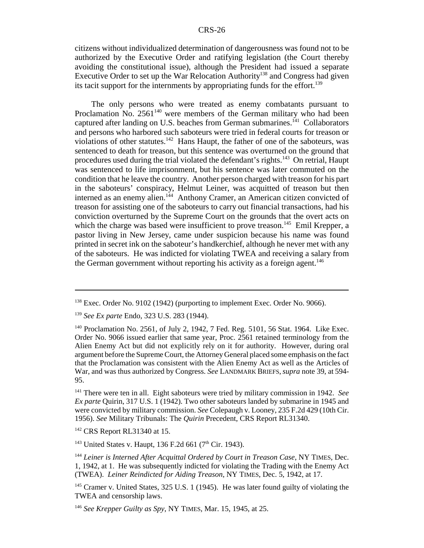citizens without individualized determination of dangerousness was found not to be authorized by the Executive Order and ratifying legislation (the Court thereby avoiding the constitutional issue), although the President had issued a separate Executive Order to set up the War Relocation Authority<sup>138</sup> and Congress had given its tacit support for the internments by appropriating funds for the effort.<sup>139</sup>

The only persons who were treated as enemy combatants pursuant to Proclamation No.  $2561^{140}$  were members of the German military who had been captured after landing on U.S. beaches from German submarines.<sup> $141$ </sup> Collaborators and persons who harbored such saboteurs were tried in federal courts for treason or violations of other statutes.<sup>142</sup> Hans Haupt, the father of one of the saboteurs, was sentenced to death for treason, but this sentence was overturned on the ground that procedures used during the trial violated the defendant's rights.143 On retrial, Haupt was sentenced to life imprisonment, but his sentence was later commuted on the condition that he leave the country. Another person charged with treason for his part in the saboteurs' conspiracy, Helmut Leiner, was acquitted of treason but then interned as an enemy alien.<sup>144</sup> Anthony Cramer, an American citizen convicted of treason for assisting one of the saboteurs to carry out financial transactions, had his conviction overturned by the Supreme Court on the grounds that the overt acts on which the charge was based were insufficient to prove treason.<sup>145</sup> Emil Krepper, a pastor living in New Jersey, came under suspicion because his name was found printed in secret ink on the saboteur's handkerchief, although he never met with any of the saboteurs. He was indicted for violating TWEA and receiving a salary from the German government without reporting his activity as a foreign agent.<sup>146</sup>

<sup>143</sup> United States v. Haupt, 136 F.2d 661 (7<sup>th</sup> Cir. 1943).

 $138$  Exec. Order No. 9102 (1942) (purporting to implement Exec. Order No. 9066).

<sup>139</sup> *See Ex parte* Endo, 323 U.S. 283 (1944).

<sup>&</sup>lt;sup>140</sup> Proclamation No. 2561, of July 2, 1942, 7 Fed. Reg. 5101, 56 Stat. 1964. Like Exec. Order No. 9066 issued earlier that same year, Proc. 2561 retained terminology from the Alien Enemy Act but did not explicitly rely on it for authority. However, during oral argument before the Supreme Court, the Attorney General placed some emphasis on the fact that the Proclamation was consistent with the Alien Enemy Act as well as the Articles of War, and was thus authorized by Congress. *See* LANDMARK BRIEFS,*supra* note 39, at 594- 95.

<sup>141</sup> There were ten in all. Eight saboteurs were tried by military commission in 1942. *See Ex parte* Quirin, 317 U.S. 1 (1942). Two other saboteurs landed by submarine in 1945 and were convicted by military commission. *See* Colepaugh v. Looney, 235 F.2d 429 (10th Cir. 1956). *See* Military Tribunals: The *Quirin* Precedent, CRS Report RL31340.

<sup>142</sup> CRS Report RL31340 at 15.

<sup>144</sup> *Leiner is Interned After Acquittal Ordered by Court in Treason Case*, NY TIMES, Dec. 1, 1942, at 1. He was subsequently indicted for violating the Trading with the Enemy Act (TWEA). *Leiner Reindicted for Aiding Treason*, NY TIMES, Dec. 5, 1942, at 17.

<sup>&</sup>lt;sup>145</sup> Cramer v. United States, 325 U.S. 1 (1945). He was later found guilty of violating the TWEA and censorship laws.

<sup>146</sup> *See Krepper Guilty as Spy*, NY TIMES, Mar. 15, 1945, at 25.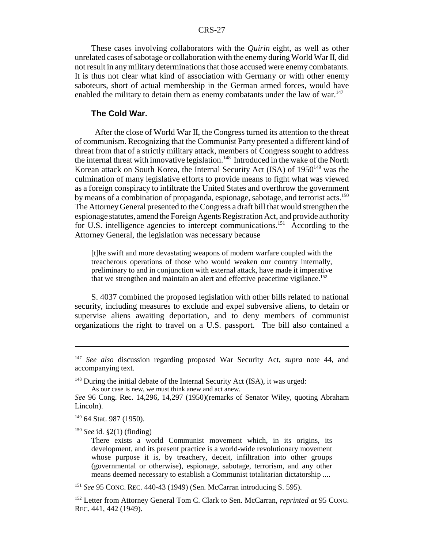These cases involving collaborators with the *Quirin* eight, as well as other unrelated cases of sabotage or collaboration with the enemy during World War II, did not result in any military determinations that those accused were enemy combatants. It is thus not clear what kind of association with Germany or with other enemy saboteurs, short of actual membership in the German armed forces, would have enabled the military to detain them as enemy combatants under the law of war.<sup>147</sup>

#### **The Cold War.**

 After the close of World War II, the Congress turned its attention to the threat of communism. Recognizing that the Communist Party presented a different kind of threat from that of a strictly military attack, members of Congress sought to address the internal threat with innovative legislation.<sup>148</sup> Introduced in the wake of the North Korean attack on South Korea, the Internal Security Act (ISA) of  $1950^{149}$  was the culmination of many legislative efforts to provide means to fight what was viewed as a foreign conspiracy to infiltrate the United States and overthrow the government by means of a combination of propaganda, espionage, sabotage, and terrorist acts.<sup>150</sup> The Attorney General presented to the Congress a draft bill that would strengthen the espionage statutes, amend the Foreign Agents Registration Act, and provide authority for U.S. intelligence agencies to intercept communications.<sup>151</sup> According to the Attorney General, the legislation was necessary because

[t]he swift and more devastating weapons of modern warfare coupled with the treacherous operations of those who would weaken our country internally, preliminary to and in conjunction with external attack, have made it imperative that we strengthen and maintain an alert and effective peacetime vigilance.<sup>152</sup>

S. 4037 combined the proposed legislation with other bills related to national security, including measures to exclude and expel subversive aliens, to detain or supervise aliens awaiting deportation, and to deny members of communist organizations the right to travel on a U.S. passport. The bill also contained a

As our case is new, we must think anew and act anew.

<sup>150</sup> *See* id. §2(1) (finding)

<sup>151</sup> *See* 95 CONG. REC. 440-43 (1949) (Sen. McCarran introducing S. 595).

<sup>147</sup> *See also* discussion regarding proposed War Security Act, *supra* note 44, and accompanying text.

 $148$  During the initial debate of the Internal Security Act (ISA), it was urged:

*See* 96 Cong. Rec. 14,296, 14,297 (1950)(remarks of Senator Wiley, quoting Abraham Lincoln).

<sup>149 64</sup> Stat. 987 (1950).

There exists a world Communist movement which, in its origins, its development, and its present practice is a world-wide revolutionary movement whose purpose it is, by treachery, deceit, infiltration into other groups (governmental or otherwise), espionage, sabotage, terrorism, and any other means deemed necessary to establish a Communist totalitarian dictatorship ....

<sup>152</sup> Letter from Attorney General Tom C. Clark to Sen. McCarran, *reprinted at* 95 CONG. REC. 441, 442 (1949).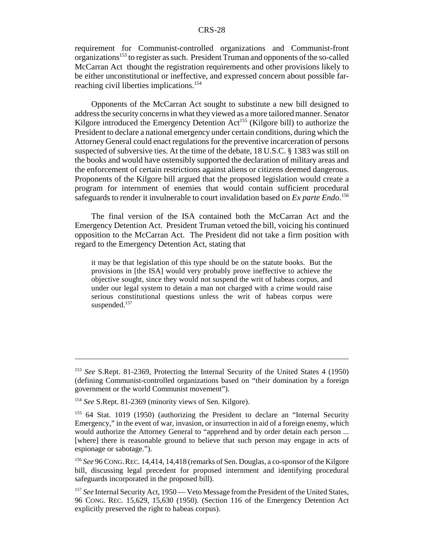requirement for Communist-controlled organizations and Communist-front organizations153 to register as such. President Truman and opponents of the so-called McCarran Act thought the registration requirements and other provisions likely to be either unconstitutional or ineffective, and expressed concern about possible farreaching civil liberties implications.<sup>154</sup>

Opponents of the McCarran Act sought to substitute a new bill designed to address the security concerns in what they viewed as a more tailored manner. Senator Kilgore introduced the Emergency Detention  $Act^{155}$  (Kilgore bill) to authorize the President to declare a national emergency under certain conditions, during which the Attorney General could enact regulations for the preventive incarceration of persons suspected of subversive ties. At the time of the debate, 18 U.S.C. § 1383 was still on the books and would have ostensibly supported the declaration of military areas and the enforcement of certain restrictions against aliens or citizens deemed dangerous. Proponents of the Kilgore bill argued that the proposed legislation would create a program for internment of enemies that would contain sufficient procedural safeguards to render it invulnerable to court invalidation based on *Ex parte Endo*. 156

The final version of the ISA contained both the McCarran Act and the Emergency Detention Act. President Truman vetoed the bill, voicing his continued opposition to the McCarran Act. The President did not take a firm position with regard to the Emergency Detention Act, stating that

it may be that legislation of this type should be on the statute books. But the provisions in [the ISA] would very probably prove ineffective to achieve the objective sought, since they would not suspend the writ of habeas corpus, and under our legal system to detain a man not charged with a crime would raise serious constitutional questions unless the writ of habeas corpus were suspended.<sup>157</sup>

<sup>153</sup> *See* S.Rept. 81-2369, Protecting the Internal Security of the United States 4 (1950) (defining Communist-controlled organizations based on "their domination by a foreign government or the world Communist movement").

<sup>154</sup> *See* S.Rept. 81-2369 (minority views of Sen. Kilgore).

<sup>&</sup>lt;sup>155</sup> 64 Stat. 1019 (1950) (authorizing the President to declare an "Internal Security Emergency," in the event of war, invasion, or insurrection in aid of a foreign enemy, which would authorize the Attorney General to "apprehend and by order detain each person ... [where] there is reasonable ground to believe that such person may engage in acts of espionage or sabotage.").

<sup>156</sup> *See* 96 CONG.REC. 14,414, 14,418 (remarks of Sen. Douglas, a co-sponsor of the Kilgore bill, discussing legal precedent for proposed internment and identifying procedural safeguards incorporated in the proposed bill).

<sup>&</sup>lt;sup>157</sup> See Internal Security Act, 1950 — Veto Message from the President of the United States, 96 CONG. REC. 15,629, 15,630 (1950). (Section 116 of the Emergency Detention Act explicitly preserved the right to habeas corpus).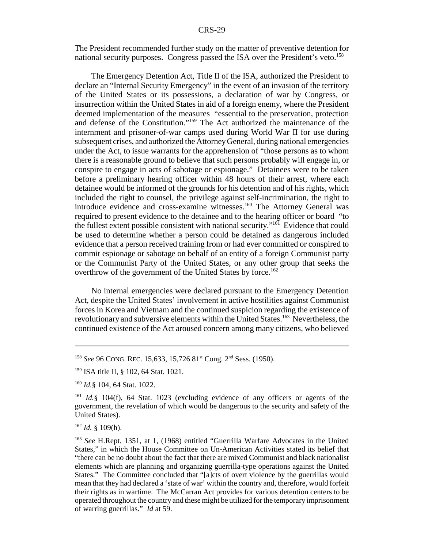The President recommended further study on the matter of preventive detention for national security purposes. Congress passed the ISA over the President's veto.<sup>158</sup>

The Emergency Detention Act, Title II of the ISA, authorized the President to declare an "Internal Security Emergency" in the event of an invasion of the territory of the United States or its possessions, a declaration of war by Congress, or insurrection within the United States in aid of a foreign enemy, where the President deemed implementation of the measures "essential to the preservation, protection and defense of the Constitution."159 The Act authorized the maintenance of the internment and prisoner-of-war camps used during World War II for use during subsequent crises, and authorized the Attorney General, during national emergencies under the Act, to issue warrants for the apprehension of "those persons as to whom there is a reasonable ground to believe that such persons probably will engage in, or conspire to engage in acts of sabotage or espionage." Detainees were to be taken before a preliminary hearing officer within 48 hours of their arrest, where each detainee would be informed of the grounds for his detention and of his rights, which included the right to counsel, the privilege against self-incrimination, the right to introduce evidence and cross-examine witnesses.<sup>160</sup> The Attorney General was required to present evidence to the detainee and to the hearing officer or board "to the fullest extent possible consistent with national security."161 Evidence that could be used to determine whether a person could be detained as dangerous included evidence that a person received training from or had ever committed or conspired to commit espionage or sabotage on behalf of an entity of a foreign Communist party or the Communist Party of the United States, or any other group that seeks the overthrow of the government of the United States by force.<sup>162</sup>

No internal emergencies were declared pursuant to the Emergency Detention Act, despite the United States' involvement in active hostilities against Communist forces in Korea and Vietnam and the continued suspicion regarding the existence of revolutionary and subversive elements within the United States.<sup>163</sup> Nevertheless, the continued existence of the Act aroused concern among many citizens, who believed

<sup>&</sup>lt;sup>158</sup> *See* 96 CONG. REC. 15,633, 15,726 81<sup>st</sup> Cong. 2<sup>nd</sup> Sess. (1950).

<sup>&</sup>lt;sup>159</sup> ISA title II, § 102, 64 Stat. 1021.

<sup>160</sup> *Id.*§ 104, 64 Stat. 1022.

<sup>161</sup> *Id.*§ 104(f), 64 Stat. 1023 (excluding evidence of any officers or agents of the government, the revelation of which would be dangerous to the security and safety of the United States).

<sup>162</sup> *Id.* § 109(h).

<sup>163</sup> *See* H.Rept. 1351, at 1, (1968) entitled "Guerrilla Warfare Advocates in the United States," in which the House Committee on Un-American Activities stated its belief that "there can be no doubt about the fact that there are mixed Communist and black nationalist elements which are planning and organizing guerrilla-type operations against the United States." The Committee concluded that "[a]cts of overt violence by the guerrillas would mean that they had declared a 'state of war' within the country and, therefore, would forfeit their rights as in wartime. The McCarran Act provides for various detention centers to be operated throughout the country and these might be utilized for the temporary imprisonment of warring guerrillas." *Id* at 59.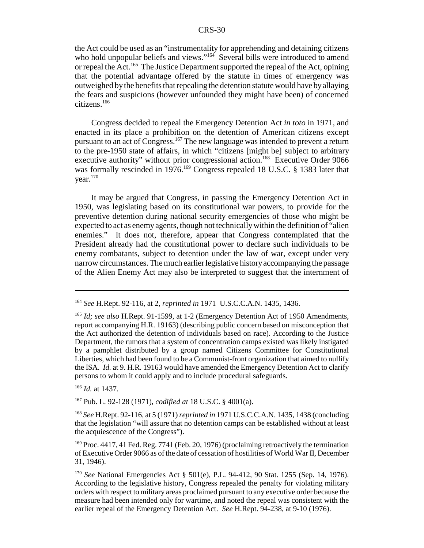the Act could be used as an "instrumentality for apprehending and detaining citizens who hold unpopular beliefs and views."<sup>164</sup> Several bills were introduced to amend or repeal the Act.<sup>165</sup> The Justice Department supported the repeal of the Act, opining that the potential advantage offered by the statute in times of emergency was outweighed by the benefits that repealing the detention statute would have by allaying the fears and suspicions (however unfounded they might have been) of concerned citizens.166

Congress decided to repeal the Emergency Detention Act *in toto* in 1971, and enacted in its place a prohibition on the detention of American citizens except pursuant to an act of Congress.167 The new language was intended to prevent a return to the pre-1950 state of affairs, in which "citizens [might be] subject to arbitrary executive authority" without prior congressional action.<sup>168</sup> Executive Order 9066 was formally rescinded in 1976.<sup>169</sup> Congress repealed 18 U.S.C. § 1383 later that year.<sup>170</sup>

It may be argued that Congress, in passing the Emergency Detention Act in 1950, was legislating based on its constitutional war powers, to provide for the preventive detention during national security emergencies of those who might be expected to act as enemy agents, though not technically within the definition of "alien enemies." It does not, therefore, appear that Congress contemplated that the President already had the constitutional power to declare such individuals to be enemy combatants, subject to detention under the law of war, except under very narrow circumstances. The much earlier legislative history accompanying the passage of the Alien Enemy Act may also be interpreted to suggest that the internment of

<sup>166</sup> *Id.* at 1437.

167 Pub. L. 92-128 (1971), *codified at* 18 U.S.C. § 4001(a).

<sup>168</sup> *See* H.Rept. 92-116, at 5 (1971) *reprinted in* 1971 U.S.C.C.A.N. 1435, 1438 (concluding that the legislation "will assure that no detention camps can be established without at least the acquiescence of the Congress").

<sup>164</sup> *See* H.Rept. 92-116, at 2, *reprinted in* 1971 U.S.C.C.A.N. 1435, 1436.

<sup>165</sup> *Id; see also* H.Rept. 91-1599, at 1-2 (Emergency Detention Act of 1950 Amendments, report accompanying H.R. 19163) (describing public concern based on misconception that the Act authorized the detention of individuals based on race). According to the Justice Department, the rumors that a system of concentration camps existed was likely instigated by a pamphlet distributed by a group named Citizens Committee for Constitutional Liberties, which had been found to be a Communist-front organization that aimed to nullify the ISA. *Id.* at 9. H.R. 19163 would have amended the Emergency Detention Act to clarify persons to whom it could apply and to include procedural safeguards.

<sup>&</sup>lt;sup>169</sup> Proc. 4417, 41 Fed. Reg. 7741 (Feb. 20, 1976) (proclaiming retroactively the termination of Executive Order 9066 as of the date of cessation of hostilities of World War II, December 31, 1946).

<sup>170</sup> *See* National Emergencies Act § 501(e), P.L. 94-412, 90 Stat. 1255 (Sep. 14, 1976). According to the legislative history, Congress repealed the penalty for violating military orders with respect to military areas proclaimed pursuant to any executive order because the measure had been intended only for wartime, and noted the repeal was consistent with the earlier repeal of the Emergency Detention Act. *See* H.Rept. 94-238, at 9-10 (1976).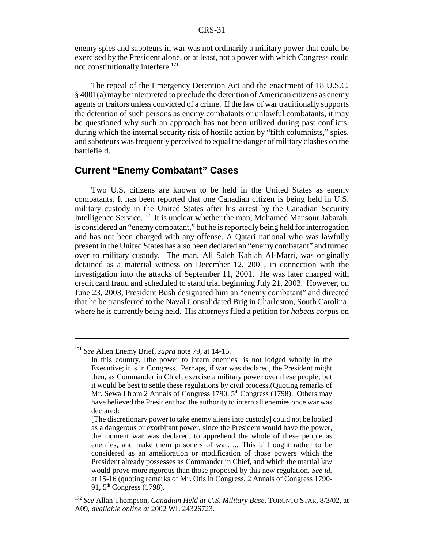enemy spies and saboteurs in war was not ordinarily a military power that could be exercised by the President alone, or at least, not a power with which Congress could not constitutionally interfere.<sup>171</sup>

The repeal of the Emergency Detention Act and the enactment of 18 U.S.C.  $\S$  4001(a) may be interpreted to preclude the detention of American citizens as enemy agents or traitors unless convicted of a crime. If the law of war traditionally supports the detention of such persons as enemy combatants or unlawful combatants, it may be questioned why such an approach has not been utilized during past conflicts, during which the internal security risk of hostile action by "fifth columnists," spies, and saboteurs was frequently perceived to equal the danger of military clashes on the battlefield.

# **Current "Enemy Combatant" Cases**

Two U.S. citizens are known to be held in the United States as enemy combatants. It has been reported that one Canadian citizen is being held in U.S. military custody in the United States after his arrest by the Canadian Security Intelligence Service.172 It is unclear whether the man, Mohamed Mansour Jabarah, is considered an "enemy combatant," but he is reportedly being held for interrogation and has not been charged with any offense. A Qatari national who was lawfully present in the United States has also been declared an "enemy combatant" and turned over to military custody. The man, Ali Saleh Kahlah Al-Marri, was originally detained as a material witness on December 12, 2001, in connection with the investigation into the attacks of September 11, 2001. He was later charged with credit card fraud and scheduled to stand trial beginning July 21, 2003. However, on June 23, 2003, President Bush designated him an "enemy combatant" and directed that he be transferred to the Naval Consolidated Brig in Charleston, South Carolina, where he is currently being held. His attorneys filed a petition for *habeas corpus* on

<sup>171</sup> *See* Alien Enemy Brief, *supra* note 79, at 14-15.

In this country, [the power to intern enemies] is not lodged wholly in the Executive; it is in Congress. Perhaps, if war was declared, the President might then, as Commander in Chief, exercise a military power over these people; but it would be best to settle these regulations by civil process.(Quoting remarks of Mr. Sewall from 2 Annals of Congress 1790,  $5<sup>th</sup>$  Congress (1798). Others may have believed the President had the authority to intern all enemies once war was declared:

<sup>[</sup>The discretionary power to take enemy aliens into custody] could not be looked as a dangerous or exorbitant power, since the President would have the power, the moment war was declared, to apprehend the whole of these people as enemies, and make them prisoners of war. ... This bill ought rather to be considered as an amelioration or modification of those powers which the President already possesses as Commander in Chief, and which the martial law would prove more rigorous than those proposed by this new regulation. *See id.* at 15-16 (quoting remarks of Mr. Otis in Congress, 2 Annals of Congress 1790- 91, 5<sup>th</sup> Congress (1798).

<sup>172</sup> *See* Allan Thompson, *Canadian Held at U.S. Military Base*, TORONTO STAR, 8/3/02, at A09, *available online at* 2002 WL 24326723.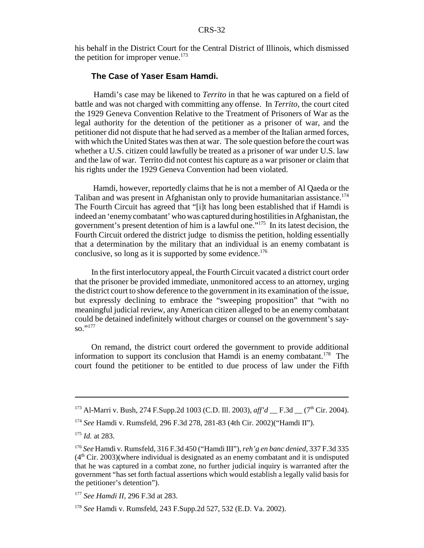his behalf in the District Court for the Central District of Illinois, which dismissed the petition for improper venue. $173$ 

#### **The Case of Yaser Esam Hamdi.**

 Hamdi's case may be likened to *Territo* in that he was captured on a field of battle and was not charged with committing any offense. In *Territo,* the court cited the 1929 Geneva Convention Relative to the Treatment of Prisoners of War as the legal authority for the detention of the petitioner as a prisoner of war, and the petitioner did not dispute that he had served as a member of the Italian armed forces, with which the United States was then at war. The sole question before the court was whether a U.S. citizen could lawfully be treated as a prisoner of war under U.S. law and the law of war. Territo did not contest his capture as a war prisoner or claim that his rights under the 1929 Geneva Convention had been violated.

 Hamdi, however, reportedly claims that he is not a member of Al Qaeda or the Taliban and was present in Afghanistan only to provide humanitarian assistance.<sup>174</sup> The Fourth Circuit has agreed that "[i]t has long been established that if Hamdi is indeed an 'enemy combatant' who was captured during hostilities in Afghanistan, the government's present detention of him is a lawful one."175 In its latest decision, the Fourth Circuit ordered the district judge to dismiss the petition, holding essentially that a determination by the military that an individual is an enemy combatant is conclusive, so long as it is supported by some evidence.<sup>176</sup>

In the first interlocutory appeal, the Fourth Circuit vacated a district court order that the prisoner be provided immediate, unmonitored access to an attorney, urging the district court to show deference to the government in its examination of the issue, but expressly declining to embrace the "sweeping proposition" that "with no meaningful judicial review, any American citizen alleged to be an enemy combatant could be detained indefinitely without charges or counsel on the government's sayso."177

On remand, the district court ordered the government to provide additional information to support its conclusion that Hamdi is an enemy combatant.<sup>178</sup> The court found the petitioner to be entitled to due process of law under the Fifth

<sup>&</sup>lt;sup>173</sup> Al-Marri v. Bush, 274 F.Supp.2d 1003 (C.D. Ill. 2003), *aff'd* F.3d (7<sup>th</sup> Cir. 2004).

<sup>174</sup> *See* Hamdi v. Rumsfeld, 296 F.3d 278, 281-83 (4th Cir. 2002)("Hamdi II").

<sup>175</sup> *Id.* at 283.

<sup>176</sup> *See* Hamdi v. Rumsfeld, 316 F.3d 450 ("Hamdi III"), *reh'g en banc denied,* 337 F.3d 335  $(4<sup>th</sup> Cir. 2003)$ (where individual is designated as an enemy combatant and it is undisputed that he was captured in a combat zone, no further judicial inquiry is warranted after the government "has set forth factual assertions which would establish a legally valid basis for the petitioner's detention").

<sup>177</sup> *See Hamdi II,* 296 F.3d at 283.

<sup>178</sup> *See* Hamdi v. Rumsfeld, 243 F.Supp.2d 527, 532 (E.D. Va. 2002).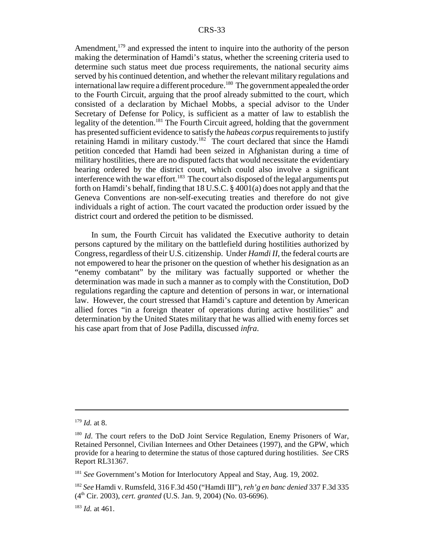Amendment,  $179$  and expressed the intent to inquire into the authority of the person making the determination of Hamdi's status, whether the screening criteria used to determine such status meet due process requirements, the national security aims served by his continued detention, and whether the relevant military regulations and international law require a different procedure.<sup>180</sup> The government appealed the order to the Fourth Circuit, arguing that the proof already submitted to the court, which consisted of a declaration by Michael Mobbs, a special advisor to the Under Secretary of Defense for Policy, is sufficient as a matter of law to establish the legality of the detention.<sup>181</sup> The Fourth Circuit agreed, holding that the government has presented sufficient evidence to satisfy the *habeas corpus* requirements to justify retaining Hamdi in military custody.182 The court declared that since the Hamdi petition conceded that Hamdi had been seized in Afghanistan during a time of military hostilities, there are no disputed facts that would necessitate the evidentiary hearing ordered by the district court, which could also involve a significant interference with the war effort.<sup>183</sup> The court also disposed of the legal arguments put forth on Hamdi's behalf, finding that 18 U.S.C. § 4001(a) does not apply and that the Geneva Conventions are non-self-executing treaties and therefore do not give individuals a right of action. The court vacated the production order issued by the district court and ordered the petition to be dismissed.

In sum, the Fourth Circuit has validated the Executive authority to detain persons captured by the military on the battlefield during hostilities authorized by Congress, regardless of their U.S. citizenship. Under *Hamdi II*, the federal courts are not empowered to hear the prisoner on the question of whether his designation as an "enemy combatant" by the military was factually supported or whether the determination was made in such a manner as to comply with the Constitution, DoD regulations regarding the capture and detention of persons in war, or international law. However, the court stressed that Hamdi's capture and detention by American allied forces "in a foreign theater of operations during active hostilities" and determination by the United States military that he was allied with enemy forces set his case apart from that of Jose Padilla, discussed *infra*.

<sup>179</sup> *Id.* at 8.

<sup>&</sup>lt;sup>180</sup> *Id*. The court refers to the DoD Joint Service Regulation, Enemy Prisoners of War, Retained Personnel, Civilian Internees and Other Detainees (1997), and the GPW, which provide for a hearing to determine the status of those captured during hostilities. *See* CRS Report RL31367.

<sup>&</sup>lt;sup>181</sup> See Government's Motion for Interlocutory Appeal and Stay, Aug. 19, 2002.

<sup>182</sup> *See* Hamdi v. Rumsfeld, 316 F.3d 450 ("Hamdi III"), *reh'g en banc denied* 337 F.3d 335 (4th Cir. 2003), *cert. granted* (U.S. Jan. 9, 2004) (No. 03-6696).

<sup>183</sup> *Id.* at 461.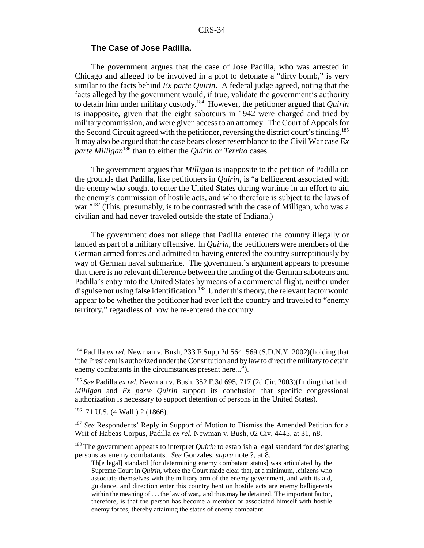#### **The Case of Jose Padilla.**

The government argues that the case of Jose Padilla, who was arrested in Chicago and alleged to be involved in a plot to detonate a "dirty bomb," is very similar to the facts behind *Ex parte Quirin*. A federal judge agreed, noting that the facts alleged by the government would, if true, validate the government's authority to detain him under military custody.184 However, the petitioner argued that *Quirin* is inapposite, given that the eight saboteurs in 1942 were charged and tried by military commission, and were given access to an attorney. The Court of Appeals for the Second Circuit agreed with the petitioner, reversing the district court's finding.<sup>185</sup> It may also be argued that the case bears closer resemblance to the Civil War case *Ex parte Milligan*186 than to either the *Quirin* or *Territo* cases.

The government argues that *Milligan* is inapposite to the petition of Padilla on the grounds that Padilla, like petitioners in *Quirin*, is "a belligerent associated with the enemy who sought to enter the United States during wartime in an effort to aid the enemy's commission of hostile acts, and who therefore is subject to the laws of war."<sup>187</sup> (This, presumably, is to be contrasted with the case of Milligan, who was a civilian and had never traveled outside the state of Indiana.)

The government does not allege that Padilla entered the country illegally or landed as part of a military offensive. In *Quirin*, the petitioners were members of the German armed forces and admitted to having entered the country surreptitiously by way of German naval submarine. The government's argument appears to presume that there is no relevant difference between the landing of the German saboteurs and Padilla's entry into the United States by means of a commercial flight, neither under disguise nor using false identification.<sup>188</sup> Under this theory, the relevant factor would appear to be whether the petitioner had ever left the country and traveled to "enemy territory," regardless of how he re-entered the country.

<sup>184</sup> Padilla *ex rel.* Newman v. Bush, 233 F.Supp.2d 564, 569 (S.D.N.Y. 2002)(holding that "the President is authorized under the Constitution and by law to direct the military to detain enemy combatants in the circumstances present here...").

<sup>185</sup> *See* Padilla *ex rel.* Newman v. Bush, 352 F.3d 695, 717 (2d Cir. 2003)(finding that both *Milligan* and *Ex parte Quirin* support its conclusion that specific congressional authorization is necessary to support detention of persons in the United States).

<sup>186 71</sup> U.S. (4 Wall.) 2 (1866).

<sup>&</sup>lt;sup>187</sup> *See* Respondents' Reply in Support of Motion to Dismiss the Amended Petition for a Writ of Habeas Corpus, Padilla *ex rel.* Newman v. Bush, 02 Civ. 4445, at 31, n8.

<sup>&</sup>lt;sup>188</sup> The government appears to interpret *Quirin* to establish a legal standard for designating persons as enemy combatants. *See* Gonzales, *supra* note ?, at 8.

Th[e legal] standard [for determining enemy combatant status] was articulated by the Supreme Court in *Quirin*, where the Court made clear that, at a minimum, .citizens who associate themselves with the military arm of the enemy government, and with its aid, guidance, and direction enter this country bent on hostile acts are enemy belligerents within the meaning of . . . the law of war,. and thus may be detained. The important factor, therefore, is that the person has become a member or associated himself with hostile enemy forces, thereby attaining the status of enemy combatant.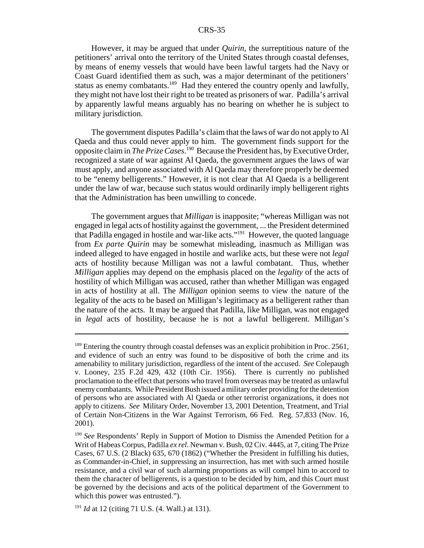However, it may be argued that under *Quirin*, the surreptitious nature of the petitioners' arrival onto the territory of the United States through coastal defenses, by means of enemy vessels that would have been lawful targets had the Navy or Coast Guard identified them as such, was a major determinant of the petitioners' status as enemy combatants.<sup>189</sup> Had they entered the country openly and lawfully, they might not have lost their right to be treated as prisoners of war. Padilla's arrival by apparently lawful means arguably has no bearing on whether he is subject to military jurisdiction.

The government disputes Padilla's claim that the laws of war do not apply to Al Qaeda and thus could never apply to him. The government finds support for the opposite claim in *The Prize Cases*. 190 Because the President has, by Executive Order, recognized a state of war against Al Qaeda, the government argues the laws of war must apply, and anyone associated with Al Qaeda may therefore properly be deemed to be "enemy belligerents." However, it is not clear that Al Qaeda is a belligerent under the law of war, because such status would ordinarily imply belligerent rights that the Administration has been unwilling to concede.

The government argues that *Milligan* is inapposite; "whereas Milligan was not engaged in legal acts of hostility against the government, ... the President determined that Padilla engaged in hostile and war-like acts."191 However, the quoted language from *Ex parte Quirin* may be somewhat misleading, inasmuch as Milligan was indeed alleged to have engaged in hostile and warlike acts, but these were not *legal* acts of hostility because Milligan was not a lawful combatant. Thus, whether *Milligan* applies may depend on the emphasis placed on the *legality* of the acts of hostility of which Milligan was accused, rather than whether Milligan was engaged in acts of hostility at all. The *Milligan* opinion seems to view the nature of the legality of the acts to be based on Milligan's legitimacy as a belligerent rather than the nature of the acts. It may be argued that Padilla, like Milligan, was not engaged in *legal* acts of hostility, because he is not a lawful belligerent. Milligan's

<sup>&</sup>lt;sup>189</sup> Entering the country through coastal defenses was an explicit prohibition in Proc. 2561, and evidence of such an entry was found to be dispositive of both the crime and its amenability to military jurisdiction, regardless of the intent of the accused. *See* Colepaugh v. Looney, 235 F.2d 429, 432 (10th Cir. 1956). There is currently no published proclamation to the effect that persons who travel from overseas may be treated as unlawful enemy combatants. While President Bush issued a military order providing for the detention of persons who are associated with Al Qaeda or other terrorist organizations, it does not apply to citizens. *See* Military Order, November 13, 2001 Detention, Treatment, and Trial of Certain Non-Citizens in the War Against Terrorism, 66 Fed. Reg. 57,833 (Nov. 16, 2001).

<sup>&</sup>lt;sup>190</sup> See Respondents' Reply in Support of Motion to Dismiss the Amended Petition for a Writ of Habeas Corpus, Padilla *ex rel.* Newman v. Bush, 02 Civ. 4445, at 7, citing The Prize Cases, 67 U.S. (2 Black) 635, 670 (1862) ("Whether the President in fulfilling his duties, as Commander-in-Chief, in suppressing an insurrection, has met with such armed hostile resistance, and a civil war of such alarming proportions as will compel him to accord to them the character of belligerents, is a question to be decided by him, and this Court must be governed by the decisions and acts of the political department of the Government to which this power was entrusted.").

<sup>191</sup> *Id* at 12 (citing 71 U.S. (4. Wall.) at 131).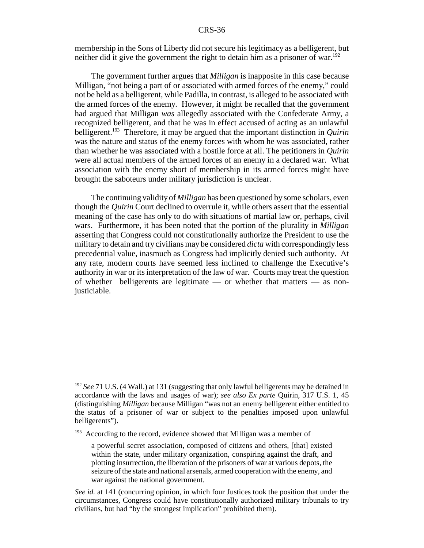membership in the Sons of Liberty did not secure his legitimacy as a belligerent, but neither did it give the government the right to detain him as a prisoner of war.<sup>192</sup>

The government further argues that *Milligan* is inapposite in this case because Milligan, "not being a part of or associated with armed forces of the enemy," could not be held as a belligerent, while Padilla, in contrast, is alleged to be associated with the armed forces of the enemy. However, it might be recalled that the government had argued that Milligan *was* allegedly associated with the Confederate Army, a recognized belligerent, and that he was in effect accused of acting as an unlawful belligerent.<sup>193</sup> Therefore, it may be argued that the important distinction in *Quirin* was the nature and status of the enemy forces with whom he was associated, rather than whether he was associated with a hostile force at all. The petitioners in *Quirin* were all actual members of the armed forces of an enemy in a declared war. What association with the enemy short of membership in its armed forces might have brought the saboteurs under military jurisdiction is unclear.

The continuing validity of *Milligan* has been questioned by some scholars, even though the *Quirin* Court declined to overrule it, while others assert that the essential meaning of the case has only to do with situations of martial law or, perhaps, civil wars. Furthermore, it has been noted that the portion of the plurality in *Milligan* asserting that Congress could not constitutionally authorize the President to use the military to detain and try civilians may be considered *dicta* with correspondingly less precedential value, inasmuch as Congress had implicitly denied such authority. At any rate, modern courts have seemed less inclined to challenge the Executive's authority in war or its interpretation of the law of war. Courts may treat the question of whether belligerents are legitimate — or whether that matters — as nonjusticiable.

<sup>&</sup>lt;sup>192</sup> *See* 71 U.S. (4 Wall.) at 131 (suggesting that only lawful belligerents may be detained in accordance with the laws and usages of war); *see also Ex parte* Quirin, 317 U.S. 1, 45 (distinguishing *Milligan* because Milligan "was not an enemy belligerent either entitled to the status of a prisoner of war or subject to the penalties imposed upon unlawful belligerents").

<sup>&</sup>lt;sup>193</sup> According to the record, evidence showed that Milligan was a member of

a powerful secret association, composed of citizens and others, [that] existed within the state, under military organization, conspiring against the draft, and plotting insurrection, the liberation of the prisoners of war at various depots, the seizure of the state and national arsenals, armed cooperation with the enemy, and war against the national government.

*See id.* at 141 (concurring opinion, in which four Justices took the position that under the circumstances, Congress could have constitutionally authorized military tribunals to try civilians, but had "by the strongest implication" prohibited them).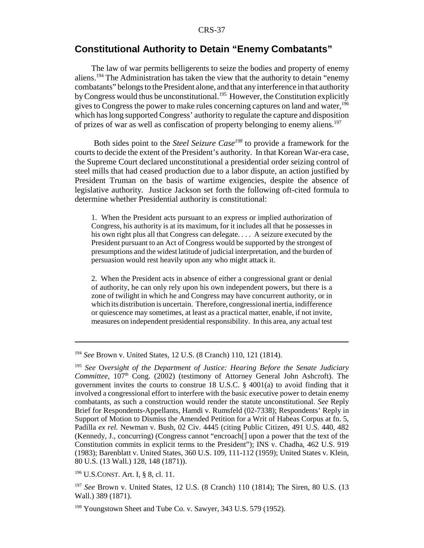# **Constitutional Authority to Detain "Enemy Combatants"**

The law of war permits belligerents to seize the bodies and property of enemy aliens.<sup>194</sup> The Administration has taken the view that the authority to detain "enemy" combatants" belongs to the President alone, and that any interference in that authority by Congress would thus be unconstitutional.<sup>195</sup> However, the Constitution explicitly gives to Congress the power to make rules concerning captures on land and water,<sup>196</sup> which has long supported Congress' authority to regulate the capture and disposition of prizes of war as well as confiscation of property belonging to enemy aliens.197

 Both sides point to the *Steel Seizure Case198* to provide a framework for the courts to decide the extent of the President's authority. In that Korean War-era case, the Supreme Court declared unconstitutional a presidential order seizing control of steel mills that had ceased production due to a labor dispute, an action justified by President Truman on the basis of wartime exigencies, despite the absence of legislative authority. Justice Jackson set forth the following oft-cited formula to determine whether Presidential authority is constitutional:

1. When the President acts pursuant to an express or implied authorization of Congress, his authority is at its maximum, for it includes all that he possesses in his own right plus all that Congress can delegate. . . . A seizure executed by the President pursuant to an Act of Congress would be supported by the strongest of presumptions and the widest latitude of judicial interpretation, and the burden of persuasion would rest heavily upon any who might attack it.

2. When the President acts in absence of either a congressional grant or denial of authority, he can only rely upon his own independent powers, but there is a zone of twilight in which he and Congress may have concurrent authority, or in which its distribution is uncertain. Therefore, congressional inertia, indifference or quiescence may sometimes, at least as a practical matter, enable, if not invite, measures on independent presidential responsibility. In this area, any actual test

<sup>194</sup> *See* Brown v. United States, 12 U.S. (8 Cranch) 110, 121 (1814).

<sup>195</sup> *See* O*versight of the Department of Justice: Hearing Before the Senate Judiciary Committee*, 107<sup>th</sup> Cong. (2002) (testimony of Attorney General John Ashcroft). The government invites the courts to construe 18 U.S.C. § 4001(a) to avoid finding that it involved a congressional effort to interfere with the basic executive power to detain enemy combatants, as such a construction would render the statute unconstitutional. *See* Reply Brief for Respondents-Appellants, Hamdi v. Rumsfeld (02-7338); Respondents' Reply in Support of Motion to Dismiss the Amended Petition for a Writ of Habeas Corpus at fn. 5, Padilla *ex rel.* Newman v. Bush, 02 Civ. 4445 (citing Public Citizen, 491 U.S. 440, 482 (Kennedy, J., concurring) (Congress cannot "encroach[] upon a power that the text of the Constitution commits in explicit terms to the President"); INS v. Chadha, 462 U.S. 919 (1983); Barenblatt v. United States, 360 U.S. 109, 111-112 (1959); United States v. Klein, 80 U.S. (13 Wall.) 128, 148 (1871)).

<sup>196</sup> U.S.CONST. Art. I, § 8, cl. 11.

<sup>197</sup> *See* Brown v. United States, 12 U.S. (8 Cranch) 110 (1814); The Siren, 80 U.S. (13 Wall.) 389 (1871).

<sup>&</sup>lt;sup>198</sup> Youngstown Sheet and Tube Co. v. Sawyer, 343 U.S. 579 (1952).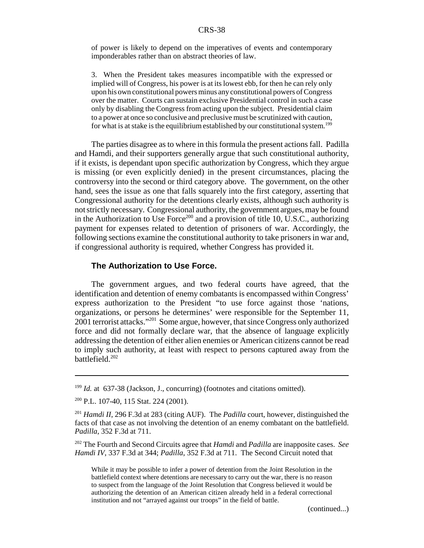of power is likely to depend on the imperatives of events and contemporary imponderables rather than on abstract theories of law.

3. When the President takes measures incompatible with the expressed or implied will of Congress, his power is at its lowest ebb, for then he can rely only upon his own constitutional powers minus any constitutional powers of Congress over the matter. Courts can sustain exclusive Presidential control in such a case only by disabling the Congress from acting upon the subject. Presidential claim to a power at once so conclusive and preclusive must be scrutinized with caution, for what is at stake is the equilibrium established by our constitutional system.<sup>199</sup>

The parties disagree as to where in this formula the present actions fall. Padilla and Hamdi, and their supporters generally argue that such constitutional authority, if it exists, is dependant upon specific authorization by Congress, which they argue is missing (or even explicitly denied) in the present circumstances, placing the controversy into the second or third category above. The government, on the other hand, sees the issue as one that falls squarely into the first category, asserting that Congressional authority for the detentions clearly exists, although such authority is not strictly necessary. Congressional authority, the government argues, may be found in the Authorization to Use Force<sup>200</sup> and a provision of title 10, U.S.C., authorizing payment for expenses related to detention of prisoners of war. Accordingly, the following sections examine the constitutional authority to take prisoners in war and, if congressional authority is required, whether Congress has provided it.

#### **The Authorization to Use Force.**

The government argues, and two federal courts have agreed, that the identification and detention of enemy combatants is encompassed within Congress' express authorization to the President "to use force against those 'nations, organizations, or persons he determines' were responsible for the September 11, 2001 terrorist attacks."201 Some argue, however, that since Congress only authorized force and did not formally declare war, that the absence of language explicitly addressing the detention of either alien enemies or American citizens cannot be read to imply such authority, at least with respect to persons captured away from the battlefield.202

(continued...)

<sup>&</sup>lt;sup>199</sup> *Id.* at 637-38 (Jackson, J., concurring) (footnotes and citations omitted).

<sup>200</sup> P.L. 107-40, 115 Stat. 224 (2001).

<sup>201</sup> *Hamdi II*, 296 F.3d at 283 (citing AUF). The *Padilla* court, however, distinguished the facts of that case as not involving the detention of an enemy combatant on the battlefield. *Padilla*, 352 F.3d at 711.

<sup>202</sup> The Fourth and Second Circuits agree that *Hamdi* and *Padilla* are inapposite cases. *See Hamdi IV*, 337 F.3d at 344; *Padilla*, 352 F.3d at 711. The Second Circuit noted that

While it may be possible to infer a power of detention from the Joint Resolution in the battlefield context where detentions are necessary to carry out the war, there is no reason to suspect from the language of the Joint Resolution that Congress believed it would be authorizing the detention of an American citizen already held in a federal correctional institution and not "arrayed against our troops" in the field of battle.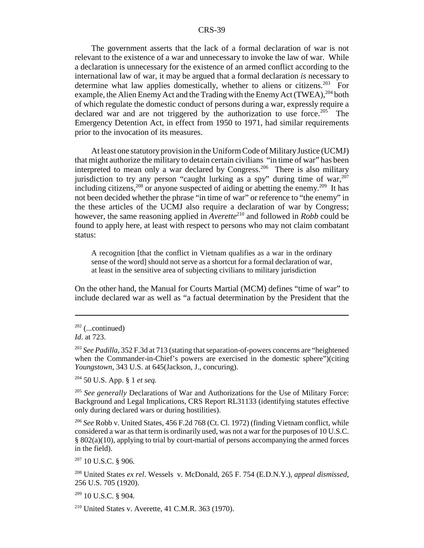The government asserts that the lack of a formal declaration of war is not relevant to the existence of a war and unnecessary to invoke the law of war. While a declaration is unnecessary for the existence of an armed conflict according to the international law of war, it may be argued that a formal declaration *is* necessary to determine what law applies domestically, whether to aliens or citizens.<sup>203</sup> For example, the Alien Enemy Act and the Trading with the Enemy Act (TWEA),  $^{204}$  both of which regulate the domestic conduct of persons during a war, expressly require a declared war and are not triggered by the authorization to use force.<sup>205</sup> The Emergency Detention Act, in effect from 1950 to 1971, had similar requirements prior to the invocation of its measures.

At least one statutory provision in the Uniform Code of Military Justice (UCMJ) that might authorize the military to detain certain civilians "in time of war" has been interpreted to mean only a war declared by Congress.<sup>206</sup> There is also military jurisdiction to try any person "caught lurking as a spy" during time of war.<sup>207</sup> including citizens,<sup>208</sup> or anyone suspected of aiding or abetting the enemy.<sup>209</sup> It has not been decided whether the phrase "in time of war" or reference to "the enemy" in the these articles of the UCMJ also require a declaration of war by Congress; however, the same reasoning applied in  $\overrightarrow{A}$ *verette*<sup>210</sup> and followed in *Robb* could be found to apply here, at least with respect to persons who may not claim combatant status:

A recognition [that the conflict in Vietnam qualifies as a war in the ordinary sense of the word] should not serve as a shortcut for a formal declaration of war, at least in the sensitive area of subjecting civilians to military jurisdiction

On the other hand, the Manual for Courts Martial (MCM) defines "time of war" to include declared war as well as "a factual determination by the President that the

204 50 U.S. App. § 1 *et seq.*

<sup>205</sup> *See generally* Declarations of War and Authorizations for the Use of Military Force: Background and Legal Implications, CRS Report RL31133 (identifying statutes effective only during declared wars or during hostilities).

<sup>206</sup> *See* Robb v. United States, 456 F.2d 768 (Ct. Cl. 1972) (finding Vietnam conflict, while considered a war as that term is ordinarily used, was not a war for the purposes of 10 U.S.C. § 802(a)(10), applying to trial by court-martial of persons accompanying the armed forces in the field).

 $207$  10 U.S.C. § 906.

208 United States *ex rel*. Wessels v. McDonald, 265 F. 754 (E.D.N.Y.), *appeal dismissed*, 256 U.S. 705 (1920).

 $209$  10 U.S.C. § 904.

 $210$  United States v. Averette, 41 C.M.R. 363 (1970).

 $202$  (...continued)

*Id*. at 723.

<sup>203</sup> *See Padilla*, 352 F.3d at 713 (stating that separation-of-powers concerns are "heightened when the Commander-in-Chief's powers are exercised in the domestic sphere")(citing *Youngstown*, 343 U.S. at 645(Jackson, J., concuring).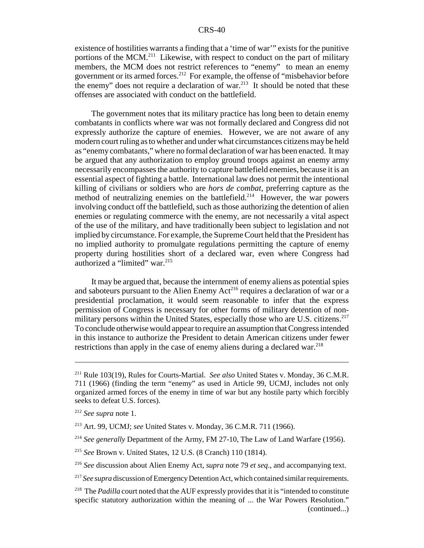existence of hostilities warrants a finding that a 'time of war'" exists for the punitive portions of the MCM.<sup>211</sup> Likewise, with respect to conduct on the part of military members, the MCM does not restrict references to "enemy" to mean an enemy government or its armed forces.212 For example, the offense of "misbehavior before the enemy" does not require a declaration of war. $^{213}$  It should be noted that these offenses are associated with conduct on the battlefield.

The government notes that its military practice has long been to detain enemy combatants in conflicts where war was not formally declared and Congress did not expressly authorize the capture of enemies. However, we are not aware of any modern court ruling as to whether and under what circumstances citizens may be held as "enemy combatants," where no formal declaration of war has been enacted. It may be argued that any authorization to employ ground troops against an enemy army necessarily encompasses the authority to capture battlefield enemies, because it is an essential aspect of fighting a battle. International law does not permit the intentional killing of civilians or soldiers who are *hors de combat,* preferring capture as the method of neutralizing enemies on the battlefield.<sup>214</sup> However, the war powers involving conduct off the battlefield, such as those authorizing the detention of alien enemies or regulating commerce with the enemy, are not necessarily a vital aspect of the use of the military, and have traditionally been subject to legislation and not implied by circumstance. For example, the Supreme Court held that the President has no implied authority to promulgate regulations permitting the capture of enemy property during hostilities short of a declared war, even where Congress had authorized a "limited" war.<sup>215</sup>

It may be argued that, because the internment of enemy aliens as potential spies and saboteurs pursuant to the Alien Enemy  $Act^{216}$  requires a declaration of war or a presidential proclamation, it would seem reasonable to infer that the express permission of Congress is necessary for other forms of military detention of nonmilitary persons within the United States, especially those who are U.S. citizens.<sup>217</sup> To conclude otherwise would appear to require an assumption that Congress intended in this instance to authorize the President to detain American citizens under fewer restrictions than apply in the case of enemy aliens during a declared war.<sup>218</sup>

<sup>211</sup> Rule 103(19), Rules for Courts-Martial. *See also* United States v. Monday, 36 C.M.R. 711 (1966) (finding the term "enemy" as used in Article 99, UCMJ, includes not only organized armed forces of the enemy in time of war but any hostile party which forcibly seeks to defeat U.S. forces).

<sup>212</sup> *See supra* note 1.

<sup>213</sup> Art. 99, UCMJ; *see* United States v. Monday, 36 C.M.R. 711 (1966).

<sup>&</sup>lt;sup>214</sup> See generally Department of the Army, FM 27-10, The Law of Land Warfare (1956).

<sup>215</sup> *See* Brown v. United States, 12 U.S. (8 Cranch) 110 (1814).

<sup>216</sup> *See* discussion about Alien Enemy Act, *supra* note 79 *et seq*., and accompanying text.

<sup>217</sup> *See supra* discussion of Emergency Detention Act, which contained similar requirements.

<sup>&</sup>lt;sup>218</sup> The *Padilla* court noted that the AUF expressly provides that it is "intended to constitute" specific statutory authorization within the meaning of ... the War Powers Resolution." (continued...)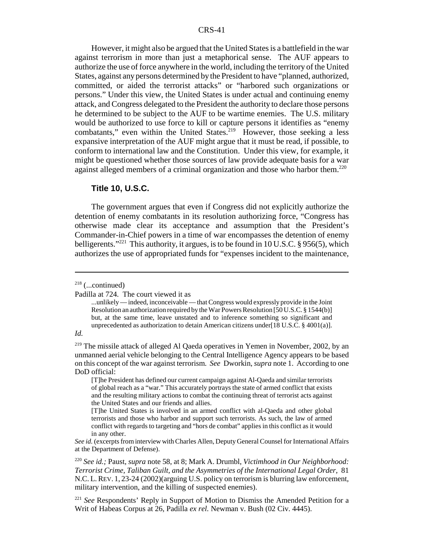However, it might also be argued that the United States is a battlefield in the war against terrorism in more than just a metaphorical sense. The AUF appears to authorize the use of force anywhere in the world, including the territory of the United States, against any persons determined by the President to have "planned, authorized, committed, or aided the terrorist attacks" or "harbored such organizations or persons." Under this view, the United States is under actual and continuing enemy attack, and Congress delegated to the President the authority to declare those persons he determined to be subject to the AUF to be wartime enemies. The U.S. military would be authorized to use force to kill or capture persons it identifies as "enemy combatants," even within the United States.<sup>219</sup> However, those seeking a less expansive interpretation of the AUF might argue that it must be read, if possible, to conform to international law and the Constitution. Under this view, for example, it might be questioned whether those sources of law provide adequate basis for a war against alleged members of a criminal organization and those who harbor them.<sup>220</sup>

#### **Title 10, U.S.C.**

The government argues that even if Congress did not explicitly authorize the detention of enemy combatants in its resolution authorizing force, "Congress has otherwise made clear its acceptance and assumption that the President's Commander-in-Chief powers in a time of war encompasses the detention of enemy belligerents."<sup>221</sup> This authority, it argues, is to be found in 10 U.S.C. § 956(5), which authorizes the use of appropriated funds for "expenses incident to the maintenance,

#### *Id.*

 $218$  (...continued)

Padilla at 724. The court viewed it as

<sup>...</sup>unlikely — indeed, inconceivable — that Congress would expressly provide in the Joint Resolution an authorization required by the War Powers Resolution [50 U.S.C. § 1544(b)] but, at the same time, leave unstated and to inference something so significant and unprecedented as authorization to detain American citizens under[18 U.S.C. § 4001(a)].

<sup>&</sup>lt;sup>219</sup> The missile attack of alleged Al Qaeda operatives in Yemen in November, 2002, by an unmanned aerial vehicle belonging to the Central Intelligence Agency appears to be based on this concept of the war against terrorism. *See* Dworkin, *supra* note 1. According to one DoD official:

<sup>[</sup>T]he President has defined our current campaign against Al-Qaeda and similar terrorists of global reach as a "war." This accurately portrays the state of armed conflict that exists and the resulting military actions to combat the continuing threat of terrorist acts against the United States and our friends and allies.

<sup>[</sup>T]he United States is involved in an armed conflict with al-Qaeda and other global terrorists and those who harbor and support such terrorists. As such, the law of armed conflict with regards to targeting and "hors de combat" applies in this conflict as it would in any other.

*See id.* (excerpts from interview with Charles Allen, Deputy General Counsel for International Affairs at the Department of Defense).

<sup>220</sup> *See id.;* Paust, *supra* note 58, at 8; Mark A. Drumbl, *Victimhood in Our Neighborhood: Terrorist Crime, Taliban Guilt, and the Asymmetries of the International Legal Order*, 81 N.C. L.REV. 1, 23-24 (2002)(arguing U.S. policy on terrorism is blurring law enforcement, military intervention, and the killing of suspected enemies).

<sup>&</sup>lt;sup>221</sup> See Respondents' Reply in Support of Motion to Dismiss the Amended Petition for a Writ of Habeas Corpus at 26, Padilla *ex rel.* Newman v. Bush (02 Civ. 4445).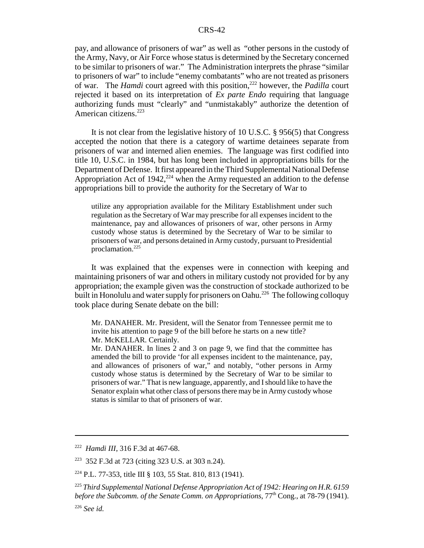pay, and allowance of prisoners of war" as well as "other persons in the custody of the Army, Navy, or Air Force whose status is determined by the Secretary concerned to be similar to prisoners of war." The Administration interprets the phrase "similar to prisoners of war" to include "enemy combatants" who are not treated as prisoners of war. The *Hamdi* court agreed with this position,<sup>222</sup> however, the *Padilla* court rejected it based on its interpretation of *Ex parte Endo* requiring that language authorizing funds must "clearly" and "unmistakably" authorize the detention of American citizens.<sup>223</sup>

It is not clear from the legislative history of 10 U.S.C. § 956(5) that Congress accepted the notion that there is a category of wartime detainees separate from prisoners of war and interned alien enemies. The language was first codified into title 10, U.S.C. in 1984, but has long been included in appropriations bills for the Department of Defense. It first appeared in the Third Supplemental National Defense Appropriation Act of 1942,  $^{224}$  when the Army requested an addition to the defense appropriations bill to provide the authority for the Secretary of War to

utilize any appropriation available for the Military Establishment under such regulation as the Secretary of War may prescribe for all expenses incident to the maintenance, pay and allowances of prisoners of war, other persons in Army custody whose status is determined by the Secretary of War to be similar to prisoners of war, and persons detained in Army custody, pursuant to Presidential proclamation.225

It was explained that the expenses were in connection with keeping and maintaining prisoners of war and others in military custody not provided for by any appropriation; the example given was the construction of stockade authorized to be built in Honolulu and water supply for prisoners on Oahu.<sup>226</sup> The following colloquy took place during Senate debate on the bill:

Mr. DANAHER. Mr. President, will the Senator from Tennessee permit me to invite his attention to page 9 of the bill before he starts on a new title? Mr. McKELLAR. Certainly.

Mr. DANAHER. In lines 2 and 3 on page 9, we find that the committee has amended the bill to provide 'for all expenses incident to the maintenance, pay, and allowances of prisoners of war," and notably, "other persons in Army custody whose status is determined by the Secretary of War to be similar to prisoners of war." That is new language, apparently, and I should like to have the Senator explain what other class of persons there may be in Army custody whose status is similar to that of prisoners of war.

<sup>222</sup> *Hamdi III*, 316 F.3d at 467-68.

<sup>223 352</sup> F.3d at 723 (citing 323 U.S. at 303 n.24).

<sup>224</sup> P.L. 77-353, title III § 103, 55 Stat. 810, 813 (1941).

<sup>225</sup> *Third Supplemental National Defense Appropriation Act of 1942: Hearing on H.R. 6159 before the Subcomm. of the Senate Comm. on Appropriations*,  $77<sup>th</sup>$  Cong., at 78-79 (1941).

<sup>226</sup> *See id.*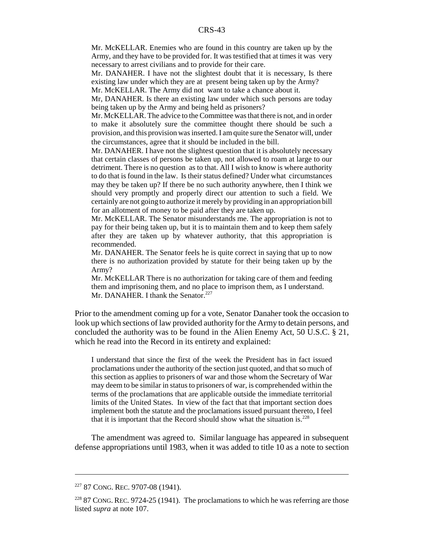Mr. McKELLAR. Enemies who are found in this country are taken up by the Army, and they have to be provided for. It was testified that at times it was very necessary to arrest civilians and to provide for their care.

Mr. DANAHER. I have not the slightest doubt that it is necessary, Is there existing law under which they are at present being taken up by the Army?

Mr. McKELLAR. The Army did not want to take a chance about it.

Mr, DANAHER. Is there an existing law under which such persons are today being taken up by the Army and being held as prisoners?

Mr. McKELLAR. The advice to the Committee was that there is not, and in order to make it absolutely sure the committee thought there should be such a provision, and this provision was inserted. I am quite sure the Senator will, under the circumstances, agree that it should be included in the bill.

Mr. DANAHER. I have not the slightest question that it is absolutely necessary that certain classes of persons be taken up, not allowed to roam at large to our detriment. There is no question as to that. All I wish to know is where authority to do that is found in the law. Is their status defined? Under what circumstances may they be taken up? If there be no such authority anywhere, then I think we should very promptly and properly direct our attention to such a field. We certainly are not going to authorize it merely by providing in an appropriation bill for an allotment of money to be paid after they are taken up.

Mr. McKELLAR. The Senator misunderstands me. The appropriation is not to pay for their being taken up, but it is to maintain them and to keep them safely after they are taken up by whatever authority, that this appropriation is recommended.

Mr. DANAHER. The Senator feels he is quite correct in saying that up to now there is no authorization provided by statute for their being taken up by the Army?

Mr. McKELLAR There is no authorization for taking care of them and feeding them and imprisoning them, and no place to imprison them, as I understand. Mr. DANAHER. I thank the Senator.<sup>227</sup>

Prior to the amendment coming up for a vote, Senator Danaher took the occasion to look up which sections of law provided authority for the Army to detain persons, and concluded the authority was to be found in the Alien Enemy Act, 50 U.S.C. § 21, which he read into the Record in its entirety and explained:

I understand that since the first of the week the President has in fact issued proclamations under the authority of the section just quoted, and that so much of this section as applies to prisoners of war and those whom the Secretary of War may deem to be similar in status to prisoners of war, is comprehended within the terms of the proclamations that are applicable outside the immediate territorial limits of the United States. In view of the fact that that important section does implement both the statute and the proclamations issued pursuant thereto, I feel that it is important that the Record should show what the situation is. $228$ 

The amendment was agreed to. Similar language has appeared in subsequent defense appropriations until 1983, when it was added to title 10 as a note to section

<sup>&</sup>lt;sup>227</sup> 87 CONG. REC. 9707-08 (1941).

 $22887$  CONG. REC. 9724-25 (1941). The proclamations to which he was referring are those listed *supra* at note 107.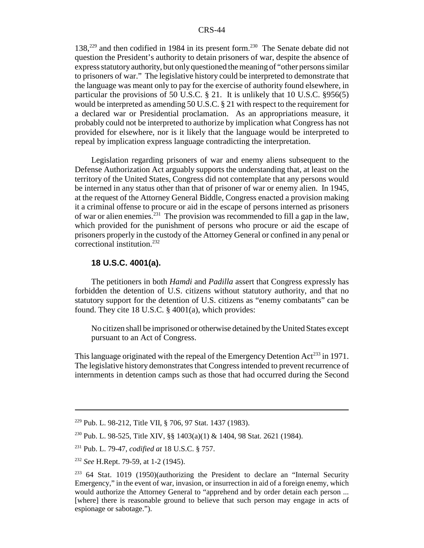138,<sup>229</sup> and then codified in 1984 in its present form.<sup>230</sup> The Senate debate did not question the President's authority to detain prisoners of war, despite the absence of express statutory authority, but only questioned the meaning of "other persons similar to prisoners of war." The legislative history could be interpreted to demonstrate that the language was meant only to pay for the exercise of authority found elsewhere, in particular the provisions of 50 U.S.C. § 21. It is unlikely that 10 U.S.C. §956(5) would be interpreted as amending 50 U.S.C. § 21 with respect to the requirement for a declared war or Presidential proclamation. As an appropriations measure, it probably could not be interpreted to authorize by implication what Congress has not provided for elsewhere, nor is it likely that the language would be interpreted to repeal by implication express language contradicting the interpretation.

Legislation regarding prisoners of war and enemy aliens subsequent to the Defense Authorization Act arguably supports the understanding that, at least on the territory of the United States, Congress did not contemplate that any persons would be interned in any status other than that of prisoner of war or enemy alien. In 1945, at the request of the Attorney General Biddle, Congress enacted a provision making it a criminal offense to procure or aid in the escape of persons interned as prisoners of war or alien enemies.<sup>231</sup> The provision was recommended to fill a gap in the law, which provided for the punishment of persons who procure or aid the escape of prisoners properly in the custody of the Attorney General or confined in any penal or correctional institution.<sup>232</sup>

### **18 U.S.C. 4001(a).**

The petitioners in both *Hamdi* and *Padilla* assert that Congress expressly has forbidden the detention of U.S. citizens without statutory authority, and that no statutory support for the detention of U.S. citizens as "enemy combatants" can be found. They cite 18 U.S.C. § 4001(a), which provides:

No citizen shall be imprisoned or otherwise detained by the United States except pursuant to an Act of Congress.

This language originated with the repeal of the Emergency Detention  $Act^{233}$  in 1971. The legislative history demonstrates that Congress intended to prevent recurrence of internments in detention camps such as those that had occurred during the Second

<sup>229</sup> Pub. L. 98-212, Title VII, § 706, 97 Stat. 1437 (1983).

<sup>230</sup> Pub. L. 98-525, Title XIV, §§ 1403(a)(1) & 1404, 98 Stat. 2621 (1984).

<sup>231</sup> Pub. L. 79-47, *codified at* 18 U.S.C. § 757.

<sup>232</sup> *See* H.Rept. 79-59, at 1-2 (1945).

 $233$  64 Stat. 1019 (1950)(authorizing the President to declare an "Internal Security Emergency," in the event of war, invasion, or insurrection in aid of a foreign enemy, which would authorize the Attorney General to "apprehend and by order detain each person ... [where] there is reasonable ground to believe that such person may engage in acts of espionage or sabotage.").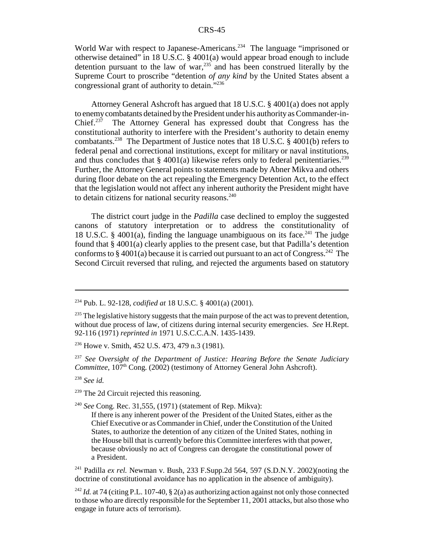World War with respect to Japanese-Americans.<sup>234</sup> The language "imprisoned or otherwise detained" in 18 U.S.C. § 4001(a) would appear broad enough to include detention pursuant to the law of war, $^{235}$  and has been construed literally by the Supreme Court to proscribe "detention *of any kind* by the United States absent a congressional grant of authority to detain."236

Attorney General Ashcroft has argued that 18 U.S.C. § 4001(a) does not apply to enemy combatants detained by the President under his authority as Commander-in-Chief.<sup>237</sup> The Attorney General has expressed doubt that Congress has the constitutional authority to interfere with the President's authority to detain enemy combatants.<sup>238</sup> The Department of Justice notes that 18 U.S.C. § 4001(b) refers to federal penal and correctional institutions, except for military or naval institutions, and thus concludes that  $\S$  4001(a) likewise refers only to federal penitentiaries.<sup>239</sup> Further, the Attorney General points to statements made by Abner Mikva and others during floor debate on the act repealing the Emergency Detention Act, to the effect that the legislation would not affect any inherent authority the President might have to detain citizens for national security reasons.<sup>240</sup>

The district court judge in the *Padilla* case declined to employ the suggested canons of statutory interpretation or to address the constitutionality of 18 U.S.C. § 4001(a), finding the language unambiguous on its face.<sup>241</sup> The judge found that § 4001(a) clearly applies to the present case, but that Padilla's detention conforms to § 4001(a) because it is carried out pursuant to an act of Congress.<sup>242</sup> The Second Circuit reversed that ruling, and rejected the arguments based on statutory

<sup>238</sup> *See id.*

<sup>239</sup> The 2d Circuit rejected this reasoning.

<sup>240</sup> *See* Cong. Rec. 31,555, (1971) (statement of Rep. Mikva):

If there is any inherent power of the President of the United States, either as the Chief Executive or as Commander in Chief, under the Constitution of the United States, to authorize the detention of any citizen of the United States, nothing in the House bill that is currently before this Committee interferes with that power, because obviously no act of Congress can derogate the constitutional power of a President.

241 Padilla *ex rel.* Newman v. Bush, 233 F.Supp.2d 564, 597 (S.D.N.Y. 2002)(noting the doctrine of constitutional avoidance has no application in the absence of ambiguity).

<sup>242</sup> *Id.* at 74 (citing P.L. 107-40, § 2(a) as authorizing action against not only those connected to those who are directly responsible for the September 11, 2001 attacks, but also those who engage in future acts of terrorism).

<sup>234</sup> Pub. L. 92-128, *codified at* 18 U.S.C. § 4001(a) (2001).

 $^{235}$  The legislative history suggests that the main purpose of the act was to prevent detention, without due process of law, of citizens during internal security emergencies. *See* H.Rept. 92-116 (1971) *reprinted in* 1971 U.S.C.C.A.N. 1435-1439.

<sup>236</sup> Howe v. Smith, 452 U.S. 473, 479 n.3 (1981).

<sup>237</sup> *See* O*versight of the Department of Justice: Hearing Before the Senate Judiciary Committee*, 107<sup>th</sup> Cong. (2002) (testimony of Attorney General John Ashcroft).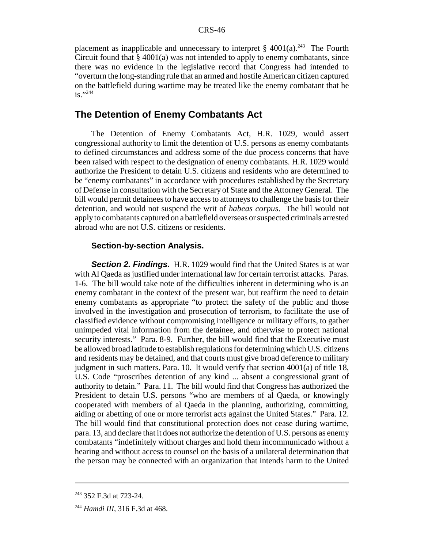placement as inapplicable and unnecessary to interpret  $\S$  4001(a).<sup>243</sup> The Fourth Circuit found that § 4001(a) was not intended to apply to enemy combatants, since there was no evidence in the legislative record that Congress had intended to "overturn the long-standing rule that an armed and hostile American citizen captured on the battlefield during wartime may be treated like the enemy combatant that he is."<sup>244</sup>

### **The Detention of Enemy Combatants Act**

The Detention of Enemy Combatants Act, H.R. 1029, would assert congressional authority to limit the detention of U.S. persons as enemy combatants to defined circumstances and address some of the due process concerns that have been raised with respect to the designation of enemy combatants. H.R. 1029 would authorize the President to detain U.S. citizens and residents who are determined to be "enemy combatants" in accordance with procedures established by the Secretary of Defense in consultation with the Secretary of State and the Attorney General. The bill would permit detainees to have access to attorneys to challenge the basis for their detention, and would not suspend the writ of *habeas corpus*. The bill would not apply to combatants captured on a battlefield overseas or suspected criminals arrested abroad who are not U.S. citizens or residents.

#### **Section-by-section Analysis.**

**Section 2. Findings.** H.R. 1029 would find that the United States is at war with Al Qaeda as justified under international law for certain terrorist attacks. Paras. 1-6. The bill would take note of the difficulties inherent in determining who is an enemy combatant in the context of the present war, but reaffirm the need to detain enemy combatants as appropriate "to protect the safety of the public and those involved in the investigation and prosecution of terrorism, to facilitate the use of classified evidence without compromising intelligence or military efforts, to gather unimpeded vital information from the detainee, and otherwise to protect national security interests." Para. 8-9. Further, the bill would find that the Executive must be allowed broad latitude to establish regulations for determining which U.S. citizens and residents may be detained, and that courts must give broad deference to military judgment in such matters. Para. 10. It would verify that section 4001(a) of title 18, U.S. Code "proscribes detention of any kind ... absent a congressional grant of authority to detain." Para. 11. The bill would find that Congress has authorized the President to detain U.S. persons "who are members of al Qaeda, or knowingly cooperated with members of al Qaeda in the planning, authorizing, committing, aiding or abetting of one or more terrorist acts against the United States." Para. 12. The bill would find that constitutional protection does not cease during wartime, para. 13, and declare that it does not authorize the detention of U.S. persons as enemy combatants "indefinitely without charges and hold them incommunicado without a hearing and without access to counsel on the basis of a unilateral determination that the person may be connected with an organization that intends harm to the United

<sup>&</sup>lt;sup>243</sup> 352 F.3d at 723-24.

<sup>244</sup> *Hamdi III*, 316 F.3d at 468.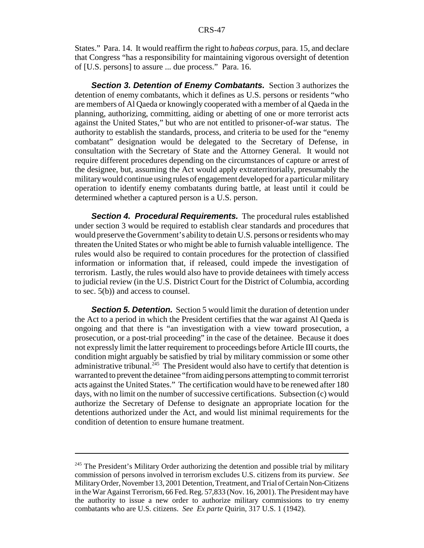States." Para. 14. It would reaffirm the right to *habeas corpus*, para. 15, and declare that Congress "has a responsibility for maintaining vigorous oversight of detention of [U.S. persons] to assure ... due process." Para. 16.

**Section 3. Detention of Enemy Combatants.** Section 3 authorizes the detention of enemy combatants, which it defines as U.S. persons or residents "who are members of Al Qaeda or knowingly cooperated with a member of al Qaeda in the planning, authorizing, committing, aiding or abetting of one or more terrorist acts against the United States," but who are not entitled to prisoner-of-war status. The authority to establish the standards, process, and criteria to be used for the "enemy combatant" designation would be delegated to the Secretary of Defense, in consultation with the Secretary of State and the Attorney General. It would not require different procedures depending on the circumstances of capture or arrest of the designee, but, assuming the Act would apply extraterritorially, presumably the military would continue using rules of engagement developed for a particular military operation to identify enemy combatants during battle, at least until it could be determined whether a captured person is a U.S. person.

*Section 4. Procedural Requirements.* The procedural rules established under section 3 would be required to establish clear standards and procedures that would preserve the Government's ability to detain U.S. persons or residents who may threaten the United States or who might be able to furnish valuable intelligence. The rules would also be required to contain procedures for the protection of classified information or information that, if released, could impede the investigation of terrorism. Lastly, the rules would also have to provide detainees with timely access to judicial review (in the U.S. District Court for the District of Columbia, according to sec. 5(b)) and access to counsel.

*Section 5. Detention.* Section 5 would limit the duration of detention under the Act to a period in which the President certifies that the war against Al Qaeda is ongoing and that there is "an investigation with a view toward prosecution, a prosecution, or a post-trial proceeding" in the case of the detainee. Because it does not expressly limit the latter requirement to proceedings before Article III courts, the condition might arguably be satisfied by trial by military commission or some other administrative tribunal.<sup>245</sup> The President would also have to certify that detention is warranted to prevent the detainee "from aiding persons attempting to commit terrorist acts against the United States." The certification would have to be renewed after 180 days, with no limit on the number of successive certifications. Subsection (c) would authorize the Secretary of Defense to designate an appropriate location for the detentions authorized under the Act, and would list minimal requirements for the condition of detention to ensure humane treatment.

 $245$  The President's Military Order authorizing the detention and possible trial by military commission of persons involved in terrorism excludes U.S. citizens from its purview. *See* Military Order, November 13, 2001 Detention, Treatment, and Trial of Certain Non-Citizens in the War Against Terrorism, 66 Fed. Reg. 57,833 (Nov. 16, 2001). The President may have the authority to issue a new order to authorize military commissions to try enemy combatants who are U.S. citizens. *See Ex parte* Quirin, 317 U.S. 1 (1942).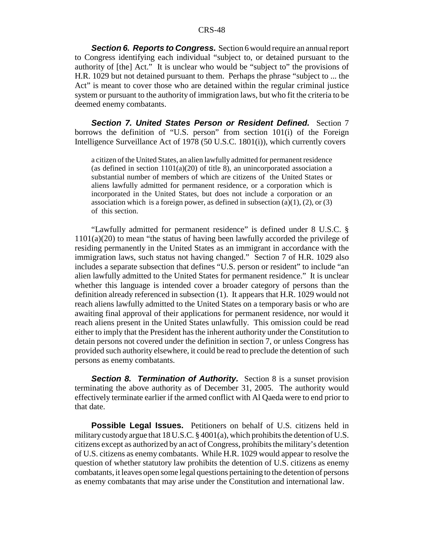**Section 6. Reports to Congress.** Section 6 would require an annual report to Congress identifying each individual "subject to, or detained pursuant to the authority of [the] Act." It is unclear who would be "subject to" the provisions of H.R. 1029 but not detained pursuant to them. Perhaps the phrase "subject to ... the Act" is meant to cover those who are detained within the regular criminal justice system or pursuant to the authority of immigration laws, but who fit the criteria to be deemed enemy combatants.

**Section 7. United States Person or Resident Defined.** Section 7 borrows the definition of "U.S. person" from section 101(i) of the Foreign Intelligence Surveillance Act of 1978 (50 U.S.C. 1801(i)), which currently covers

a citizen of the United States, an alien lawfully admitted for permanent residence (as defined in section  $1101(a)(20)$  of title 8), an unincorporated association a substantial number of members of which are citizens of the United States or aliens lawfully admitted for permanent residence, or a corporation which is incorporated in the United States, but does not include a corporation or an association which is a foreign power, as defined in subsection  $(a)(1)$ ,  $(2)$ , or  $(3)$ of this section.

"Lawfully admitted for permanent residence" is defined under 8 U.S.C. § 1101(a)(20) to mean "the status of having been lawfully accorded the privilege of residing permanently in the United States as an immigrant in accordance with the immigration laws, such status not having changed." Section 7 of H.R. 1029 also includes a separate subsection that defines "U.S. person or resident" to include "an alien lawfully admitted to the United States for permanent residence." It is unclear whether this language is intended cover a broader category of persons than the definition already referenced in subsection (1). It appears that H.R. 1029 would not reach aliens lawfully admitted to the United States on a temporary basis or who are awaiting final approval of their applications for permanent residence, nor would it reach aliens present in the United States unlawfully. This omission could be read either to imply that the President has the inherent authority under the Constitution to detain persons not covered under the definition in section 7, or unless Congress has provided such authority elsewhere, it could be read to preclude the detention of such persons as enemy combatants.

**Section 8. Termination of Authority.** Section 8 is a sunset provision terminating the above authority as of December 31, 2005. The authority would effectively terminate earlier if the armed conflict with Al Qaeda were to end prior to that date.

**Possible Legal Issues.** Petitioners on behalf of U.S. citizens held in military custody argue that 18 U.S.C. § 4001(a), which prohibits the detention of U.S. citizens except as authorized by an act of Congress, prohibits the military's detention of U.S. citizens as enemy combatants. While H.R. 1029 would appear to resolve the question of whether statutory law prohibits the detention of U.S. citizens as enemy combatants, it leaves open some legal questions pertaining to the detention of persons as enemy combatants that may arise under the Constitution and international law.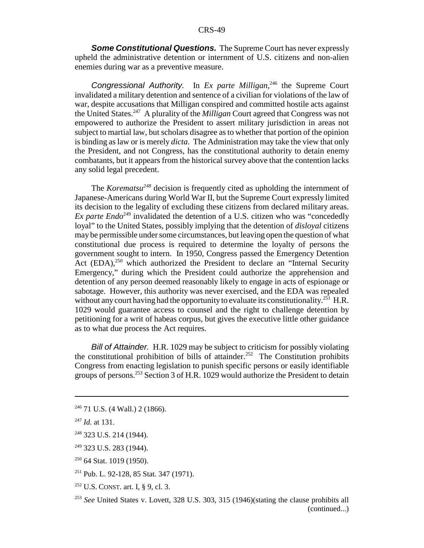*Some Constitutional Questions.* The Supreme Court has never expressly upheld the administrative detention or internment of U.S. citizens and non-alien enemies during war as a preventive measure.

*Congressional Authority.* In *Ex parte Milligan*, 246 the Supreme Court invalidated a military detention and sentence of a civilian for violations of the law of war, despite accusations that Milligan conspired and committed hostile acts against the United States.247 A plurality of the *Milligan* Court agreed that Congress was not empowered to authorize the President to assert military jurisdiction in areas not subject to martial law, but scholars disagree as to whether that portion of the opinion is binding as law or is merely *dicta*. The Administration may take the view that only the President, and not Congress, has the constitutional authority to detain enemy combatants, but it appears from the historical survey above that the contention lacks any solid legal precedent.

The *Korematsu*<sup>248</sup> decision is frequently cited as upholding the internment of Japanese-Americans during World War II, but the Supreme Court expressly limited its decision to the legality of excluding these citizens from declared military areas. *Ex parte Endo*<sup>249</sup> invalidated the detention of a U.S. citizen who was "concededly loyal" to the United States, possibly implying that the detention of *disloyal* citizens may be permissible under some circumstances, but leaving open the question of what constitutional due process is required to determine the loyalty of persons the government sought to intern. In 1950, Congress passed the Emergency Detention Act  $(EDA)$ ,<sup>250</sup> which authorized the President to declare an "Internal Security Emergency," during which the President could authorize the apprehension and detention of any person deemed reasonably likely to engage in acts of espionage or sabotage. However, this authority was never exercised, and the EDA was repealed without any court having had the opportunity to evaluate its constitutionality.<sup>251</sup> H.R. 1029 would guarantee access to counsel and the right to challenge detention by petitioning for a writ of habeas corpus, but gives the executive little other guidance as to what due process the Act requires.

*Bill of Attainder.* H.R. 1029 may be subject to criticism for possibly violating the constitutional prohibition of bills of attainder.<sup>252</sup> The Constitution prohibits Congress from enacting legislation to punish specific persons or easily identifiable groups of persons.253 Section 3 of H.R. 1029 would authorize the President to detain

250 64 Stat. 1019 (1950).

 $246$  71 U.S. (4 Wall.) 2 (1866).

<sup>247</sup> *Id.* at 131.

<sup>248 323</sup> U.S. 214 (1944).

<sup>249 323</sup> U.S. 283 (1944).

<sup>251</sup> Pub. L. 92-128, 85 Stat. 347 (1971).

<sup>252</sup> U.S. CONST. art. I, § 9, cl. 3.

<sup>253</sup> *See* United States v. Lovett, 328 U.S. 303, 315 (1946)(stating the clause prohibits all (continued...)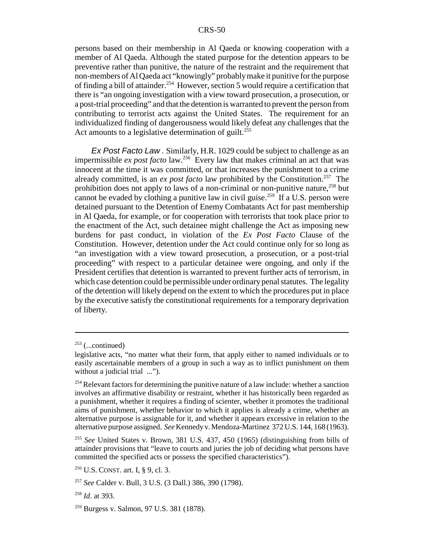persons based on their membership in Al Qaeda or knowing cooperation with a member of Al Qaeda. Although the stated purpose for the detention appears to be preventive rather than punitive, the nature of the restraint and the requirement that non-members of Al Qaeda act "knowingly" probably make it punitive for the purpose of finding a bill of attainder.<sup>254</sup> However, section 5 would require a certification that there is "an ongoing investigation with a view toward prosecution, a prosecution, or a post-trial proceeding" and that the detention is warranted to prevent the person from contributing to terrorist acts against the United States. The requirement for an individualized finding of dangerousness would likely defeat any challenges that the Act amounts to a legislative determination of guilt.<sup>255</sup>

*Ex Post Facto Law .* Similarly, H.R. 1029 could be subject to challenge as an impermissible *ex post facto* law.<sup>256</sup> Every law that makes criminal an act that was innocent at the time it was committed, or that increases the punishment to a crime already committed, is an *ex post facto* law prohibited by the Constitution.<sup>257</sup> The prohibition does not apply to laws of a non-criminal or non-punitive nature,<sup>258</sup> but cannot be evaded by clothing a punitive law in civil guise.<sup>259</sup> If a U.S. person were detained pursuant to the Detention of Enemy Combatants Act for past membership in Al Qaeda, for example, or for cooperation with terrorists that took place prior to the enactment of the Act, such detainee might challenge the Act as imposing new burdens for past conduct, in violation of the *Ex Post Facto* Clause of the Constitution. However, detention under the Act could continue only for so long as "an investigation with a view toward prosecution, a prosecution, or a post-trial proceeding" with respect to a particular detainee were ongoing, and only if the President certifies that detention is warranted to prevent further acts of terrorism, in which case detention could be permissible under ordinary penal statutes. The legality of the detention will likely depend on the extent to which the procedures put in place by the executive satisfy the constitutional requirements for a temporary deprivation of liberty.

 $253$  (...continued)

legislative acts, "no matter what their form, that apply either to named individuals or to easily ascertainable members of a group in such a way as to inflict punishment on them without a judicial trial ...").

 $254$  Relevant factors for determining the punitive nature of a law include: whether a sanction involves an affirmative disability or restraint, whether it has historically been regarded as a punishment, whether it requires a finding of scienter, whether it promotes the traditional aims of punishment, whether behavior to which it applies is already a crime, whether an alternative purpose is assignable for it, and whether it appears excessive in relation to the alternative purpose assigned. *See* Kennedy v. Mendoza-Martinez 372 U.S. 144, 168 (1963).

<sup>255</sup> *See* United States v. Brown, 381 U.S. 437, 450 (1965) (distinguishing from bills of attainder provisions that "leave to courts and juries the job of deciding what persons have committed the specified acts or possess the specified characteristics").

<sup>256</sup> U.S. CONST. art. I, § 9, cl. 3.

<sup>257</sup> *See* Calder v. Bull, 3 U.S. (3 Dall.) 386, 390 (1798).

<sup>258</sup> *Id*. at 393.

<sup>259</sup> Burgess v. Salmon, 97 U.S. 381 (1878).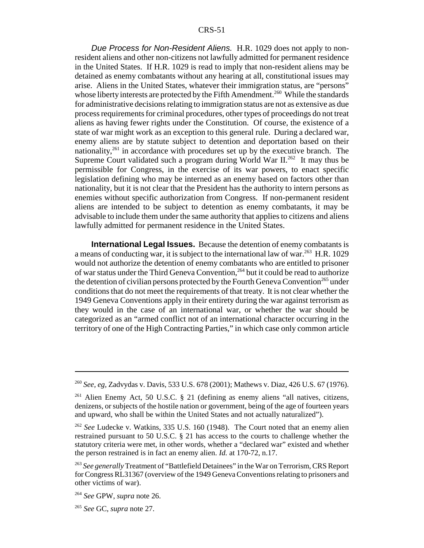*Due Process for Non-Resident Aliens.* H.R. 1029 does not apply to nonresident aliens and other non-citizens not lawfully admitted for permanent residence in the United States. If H.R. 1029 is read to imply that non-resident aliens may be detained as enemy combatants without any hearing at all, constitutional issues may arise. Aliens in the United States, whatever their immigration status, are "persons" whose liberty interests are protected by the Fifth Amendment.<sup>260</sup> While the standards for administrative decisions relating to immigration status are not as extensive as due process requirements for criminal procedures, other types of proceedings do not treat aliens as having fewer rights under the Constitution. Of course, the existence of a state of war might work as an exception to this general rule. During a declared war, enemy aliens are by statute subject to detention and deportation based on their nationality,<sup>261</sup> in accordance with procedures set up by the executive branch. The Supreme Court validated such a program during World War  $II^{262}$  It may thus be permissible for Congress, in the exercise of its war powers, to enact specific legislation defining who may be interned as an enemy based on factors other than nationality, but it is not clear that the President has the authority to intern persons as enemies without specific authorization from Congress. If non-permanent resident aliens are intended to be subject to detention as enemy combatants, it may be advisable to include them under the same authority that applies to citizens and aliens lawfully admitted for permanent residence in the United States.

**International Legal Issues.** Because the detention of enemy combatants is a means of conducting war, it is subject to the international law of war.<sup>263</sup> H.R. 1029 would not authorize the detention of enemy combatants who are entitled to prisoner of war status under the Third Geneva Convention,264 but it could be read to authorize the detention of civilian persons protected by the Fourth Geneva Convention<sup>265</sup> under conditions that do not meet the requirements of that treaty. It is not clear whether the 1949 Geneva Conventions apply in their entirety during the war against terrorism as they would in the case of an international war, or whether the war should be categorized as an "armed conflict not of an international character occurring in the territory of one of the High Contracting Parties," in which case only common article

<sup>260</sup> *See, eg,* Zadvydas v. Davis, 533 U.S. 678 (2001); Mathews v. Diaz, 426 U.S. 67 (1976).

<sup>&</sup>lt;sup>261</sup> Alien Enemy Act, 50 U.S.C.  $\S$  21 (defining as enemy aliens "all natives, citizens, denizens, or subjects of the hostile nation or government, being of the age of fourteen years and upward, who shall be within the United States and not actually naturalized").

<sup>262</sup> *See* Ludecke v. Watkins, 335 U.S. 160 (1948). The Court noted that an enemy alien restrained pursuant to 50 U.S.C. § 21 has access to the courts to challenge whether the statutory criteria were met, in other words, whether a "declared war" existed and whether the person restrained is in fact an enemy alien. *Id.* at 170-72, n.17.

<sup>263</sup> *See generally* Treatment of "Battlefield Detainees" in the War on Terrorism, CRS Report for Congress RL31367 (overview of the 1949 Geneva Conventions relating to prisoners and other victims of war).

<sup>264</sup> *See* GPW, *supra* note 26.

<sup>265</sup> *See* GC, *supra* note 27.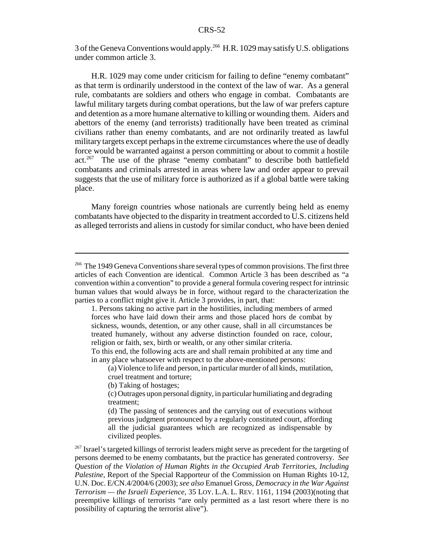3 of the Geneva Conventions would apply.266 H.R. 1029 may satisfy U.S. obligations under common article 3.

H.R. 1029 may come under criticism for failing to define "enemy combatant" as that term is ordinarily understood in the context of the law of war. As a general rule, combatants are soldiers and others who engage in combat. Combatants are lawful military targets during combat operations, but the law of war prefers capture and detention as a more humane alternative to killing or wounding them. Aiders and abettors of the enemy (and terrorists) traditionally have been treated as criminal civilians rather than enemy combatants, and are not ordinarily treated as lawful military targets except perhaps in the extreme circumstances where the use of deadly force would be warranted against a person committing or about to commit a hostile act.267 The use of the phrase "enemy combatant" to describe both battlefield combatants and criminals arrested in areas where law and order appear to prevail suggests that the use of military force is authorized as if a global battle were taking place.

Many foreign countries whose nationals are currently being held as enemy combatants have objected to the disparity in treatment accorded to U.S. citizens held as alleged terrorists and aliens in custody for similar conduct, who have been denied

<sup>&</sup>lt;sup>266</sup> The 1949 Geneva Conventions share several types of common provisions. The first three articles of each Convention are identical. Common Article 3 has been described as "a convention within a convention" to provide a general formula covering respect for intrinsic human values that would always be in force, without regard to the characterization the parties to a conflict might give it. Article 3 provides, in part, that:

<sup>1.</sup> Persons taking no active part in the hostilities, including members of armed forces who have laid down their arms and those placed hors de combat by sickness, wounds, detention, or any other cause, shall in all circumstances be treated humanely, without any adverse distinction founded on race, colour, religion or faith, sex, birth or wealth, or any other similar criteria.

To this end, the following acts are and shall remain prohibited at any time and in any place whatsoever with respect to the above-mentioned persons:

 <sup>(</sup>a) Violence to life and person, in particular murder of all kinds, mutilation, cruel treatment and torture;

<sup>(</sup>b) Taking of hostages;

<sup>(</sup>c) Outrages upon personal dignity, in particular humiliating and degrading treatment;

 <sup>(</sup>d) The passing of sentences and the carrying out of executions without previous judgment pronounced by a regularly constituted court, affording all the judicial guarantees which are recognized as indispensable by civilized peoples.

<sup>&</sup>lt;sup>267</sup> Israel's targeted killings of terrorist leaders might serve as precedent for the targeting of persons deemed to be enemy combatants, but the practice has generated controversy. *See Question of the Violation of Human Rights in the Occupied Arab Territories, Including Palestine*, Report of the Special Rapporteur of the Commission on Human Rights 10-12, U.N. Doc. E/CN.4/2004/6 (2003); *see also* Emanuel Gross, *Democracy in the War Against Terrorism — the Israeli Experience*, 35 LOY. L.A. L. REV. 1161, 1194 (2003)(noting that preemptive killings of terrorists "are only permitted as a last resort where there is no possibility of capturing the terrorist alive").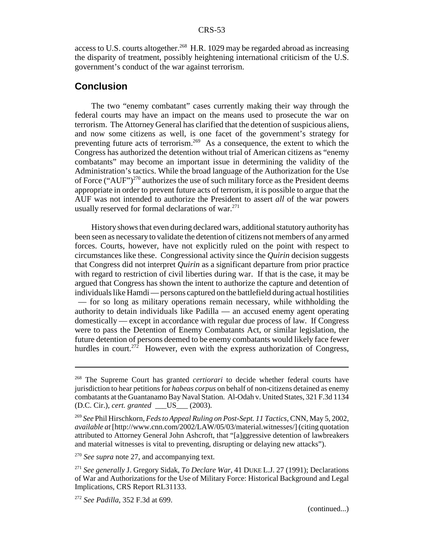access to U.S. courts altogether.<sup>268</sup> H.R. 1029 may be regarded abroad as increasing the disparity of treatment, possibly heightening international criticism of the U.S. government's conduct of the war against terrorism.

#### **Conclusion**

The two "enemy combatant" cases currently making their way through the federal courts may have an impact on the means used to prosecute the war on terrorism. The Attorney General has clarified that the detention of suspicious aliens, and now some citizens as well, is one facet of the government's strategy for preventing future acts of terrorism.<sup>269</sup> As a consequence, the extent to which the Congress has authorized the detention without trial of American citizens as "enemy combatants" may become an important issue in determining the validity of the Administration's tactics. While the broad language of the Authorization for the Use of Force ("AUF")<sup>270</sup> authorizes the use of such military force as the President deems appropriate in order to prevent future acts of terrorism, it is possible to argue that the AUF was not intended to authorize the President to assert *all* of the war powers usually reserved for formal declarations of war. $271$ 

History shows that even during declared wars, additional statutory authority has been seen as necessary to validate the detention of citizens not members of any armed forces. Courts, however, have not explicitly ruled on the point with respect to circumstances like these. Congressional activity since the *Quirin* decision suggests that Congress did not interpret *Quirin* as a significant departure from prior practice with regard to restriction of civil liberties during war. If that is the case, it may be argued that Congress has shown the intent to authorize the capture and detention of individuals like Hamdi — persons captured on the battlefield during actual hostilities — for so long as military operations remain necessary, while withholding the authority to detain individuals like Padilla — an accused enemy agent operating domestically — except in accordance with regular due process of law. If Congress were to pass the Detention of Enemy Combatants Act, or similar legislation, the future detention of persons deemed to be enemy combatants would likely face fewer hurdles in court.<sup>272</sup> However, even with the express authorization of Congress,

<sup>268</sup> The Supreme Court has granted *certiorari* to decide whether federal courts have jurisdiction to hear petitions for *habeas corpus* on behalf of non-citizens detained as enemy combatants at the Guantanamo Bay Naval Station. Al-Odah v. United States, 321 F.3d 1134 (D.C. Cir.), *cert. granted* \_\_\_US\_\_\_ (2003).

<sup>269</sup> *See* Phil Hirschkorn, *Feds to Appeal Ruling on Post-Sept. 11 Tactics*, CNN, May 5, 2002, *available at* [http://www.cnn.com/2002/LAW/05/03/material.witnesses/] (citing quotation attributed to Attorney General John Ashcroft, that "[a]ggressive detention of lawbreakers and material witnesses is vital to preventing, disrupting or delaying new attacks").

<sup>&</sup>lt;sup>270</sup> *See supra* note 27, and accompanying text.

<sup>271</sup> *See generally* J. Gregory Sidak, *To Declare War*, 41 DUKE L.J. 27 (1991); Declarations of War and Authorizations for the Use of Military Force: Historical Background and Legal Implications, CRS Report RL31133.

<sup>272</sup> *See Padilla*, 352 F.3d at 699.